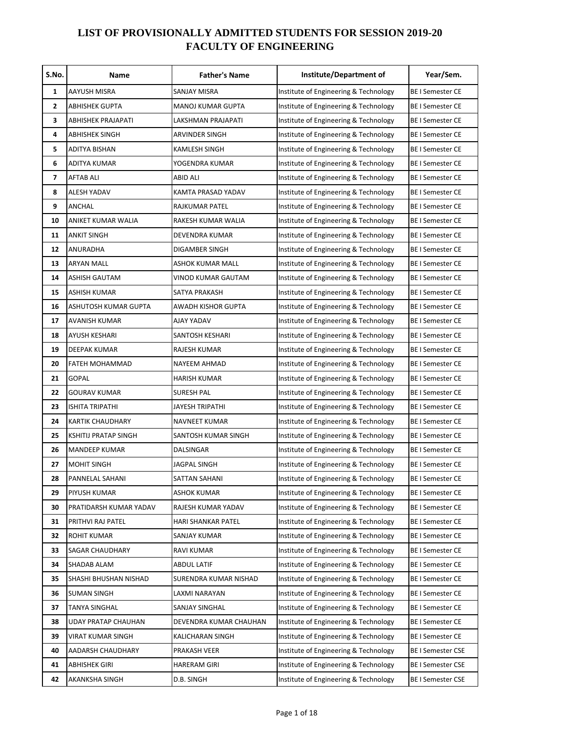| S.No.        | Name                       | <b>Father's Name</b>      | Institute/Department of               | Year/Sem.                |
|--------------|----------------------------|---------------------------|---------------------------------------|--------------------------|
| $\mathbf{1}$ | AAYUSH MISRA               | SANJAY MISRA              | Institute of Engineering & Technology | <b>BE I Semester CE</b>  |
| 2            | ABHISHEK GUPTA             | <b>MANOJ KUMAR GUPTA</b>  | Institute of Engineering & Technology | <b>BE I Semester CE</b>  |
| 3            | ABHISHEK PRAJAPATI         | LAKSHMAN PRAJAPATI        | Institute of Engineering & Technology | <b>BE I Semester CE</b>  |
| 4            | ABHISHEK SINGH             | <b>ARVINDER SINGH</b>     | Institute of Engineering & Technology | <b>BE I Semester CE</b>  |
| 5            | <b>ADITYA BISHAN</b>       | KAMLESH SINGH             | Institute of Engineering & Technology | <b>BE I Semester CE</b>  |
| 6            | ADITYA KUMAR               | YOGENDRA KUMAR            | Institute of Engineering & Technology | <b>BE I Semester CE</b>  |
| 7            | <b>AFTAB ALI</b>           | <b>ABID ALI</b>           | Institute of Engineering & Technology | <b>BE I Semester CE</b>  |
| 8            | ALESH YADAV                | KAMTA PRASAD YADAV        | Institute of Engineering & Technology | <b>BE I Semester CE</b>  |
| 9            | ANCHAL                     | RAJKUMAR PATEL            | Institute of Engineering & Technology | <b>BE I Semester CE</b>  |
| 10           | ANIKET KUMAR WALIA         | RAKESH KUMAR WALIA        | Institute of Engineering & Technology | <b>BE I Semester CE</b>  |
| 11           | <b>ANKIT SINGH</b>         | DEVENDRA KUMAR            | Institute of Engineering & Technology | <b>BE I Semester CE</b>  |
| 12           | <b>ANURADHA</b>            | <b>DIGAMBER SINGH</b>     | Institute of Engineering & Technology | <b>BE I Semester CE</b>  |
| 13           | <b>ARYAN MALL</b>          | ASHOK KUMAR MALL          | Institute of Engineering & Technology | <b>BE I Semester CE</b>  |
| 14           | ASHISH GAUTAM              | VINOD KUMAR GAUTAM        | Institute of Engineering & Technology | <b>BE I Semester CE</b>  |
| 15           | ASHISH KUMAR               | SATYA PRAKASH             | Institute of Engineering & Technology | <b>BE I Semester CE</b>  |
| 16           | ASHUTOSH KUMAR GUPTA       | <b>AWADH KISHOR GUPTA</b> | Institute of Engineering & Technology | <b>BE I Semester CE</b>  |
| 17           | <b>AVANISH KUMAR</b>       | AJAY YADAV                | Institute of Engineering & Technology | <b>BE I Semester CE</b>  |
| 18           | <b>AYUSH KESHARI</b>       | SANTOSH KESHARI           | Institute of Engineering & Technology | <b>BE I Semester CE</b>  |
| 19           | <b>DEEPAK KUMAR</b>        | <b>RAJESH KUMAR</b>       | Institute of Engineering & Technology | <b>BE I Semester CE</b>  |
| 20           | FATEH MOHAMMAD             | NAYEEM AHMAD              | Institute of Engineering & Technology | <b>BE I Semester CE</b>  |
| 21           | GOPAL                      | <b>HARISH KUMAR</b>       | Institute of Engineering & Technology | <b>BE I Semester CE</b>  |
| 22           | <b>GOURAV KUMAR</b>        | <b>SURESH PAL</b>         | Institute of Engineering & Technology | <b>BE I Semester CE</b>  |
| 23           | ISHITA TRIPATHI            | <b>JAYESH TRIPATHI</b>    | Institute of Engineering & Technology | <b>BE I Semester CE</b>  |
| 24           | KARTIK CHAUDHARY           | <b>NAVNEET KUMAR</b>      | Institute of Engineering & Technology | <b>BE I Semester CE</b>  |
| 25           | KSHITIJ PRATAP SINGH       | SANTOSH KUMAR SINGH       | Institute of Engineering & Technology | <b>BE I Semester CE</b>  |
| 26           | <b>MANDEEP KUMAR</b>       | DALSINGAR                 | Institute of Engineering & Technology | <b>BE I Semester CE</b>  |
| 27           | <b>MOHIT SINGH</b>         | JAGPAL SINGH              | Institute of Engineering & Technology | <b>BE I Semester CE</b>  |
| 28           | PANNELAL SAHANI            | SATTAN SAHANI             | Institute of Engineering & Technology | <b>BE I Semester CE</b>  |
| 29           | PIYUSH KUMAR               | ASHOK KUMAR               | Institute of Engineering & Technology | <b>BE I Semester CE</b>  |
| 30           | PRATIDARSH KUMAR YADAV     | RAJESH KUMAR YADAV        | Institute of Engineering & Technology | <b>BE I Semester CE</b>  |
| 31           | PRITHVI RAJ PATEL          | HARI SHANKAR PATEL        | Institute of Engineering & Technology | <b>BE I Semester CE</b>  |
| 32           | ROHIT KUMAR                | SANJAY KUMAR              | Institute of Engineering & Technology | <b>BE I Semester CE</b>  |
| 33           | SAGAR CHAUDHARY            | <b>RAVI KUMAR</b>         | Institute of Engineering & Technology | <b>BE I Semester CE</b>  |
| 34           | SHADAB ALAM                | ABDUL LATIF               | Institute of Engineering & Technology | <b>BE I Semester CE</b>  |
| 35           | SHASHI BHUSHAN NISHAD      | SURENDRA KUMAR NISHAD     | Institute of Engineering & Technology | <b>BE I Semester CE</b>  |
| 36           | <b>SUMAN SINGH</b>         | LAXMI NARAYAN             | Institute of Engineering & Technology | <b>BE I Semester CE</b>  |
| 37           | TANYA SINGHAL              | SANJAY SINGHAL            | Institute of Engineering & Technology | <b>BE I Semester CE</b>  |
| 38           | <b>UDAY PRATAP CHAUHAN</b> | DEVENDRA KUMAR CHAUHAN    | Institute of Engineering & Technology | <b>BEI Semester CE</b>   |
| 39           | VIRAT KUMAR SINGH          | KALICHARAN SINGH          | Institute of Engineering & Technology | <b>BE I Semester CE</b>  |
| 40           | AADARSH CHAUDHARY          | PRAKASH VEER              | Institute of Engineering & Technology | <b>BE I Semester CSE</b> |
| 41           | ABHISHEK GIRI              | HARERAM GIRI              | Institute of Engineering & Technology | <b>BE I Semester CSE</b> |
| 42           | AKANKSHA SINGH             | D.B. SINGH                | Institute of Engineering & Technology | <b>BE I Semester CSE</b> |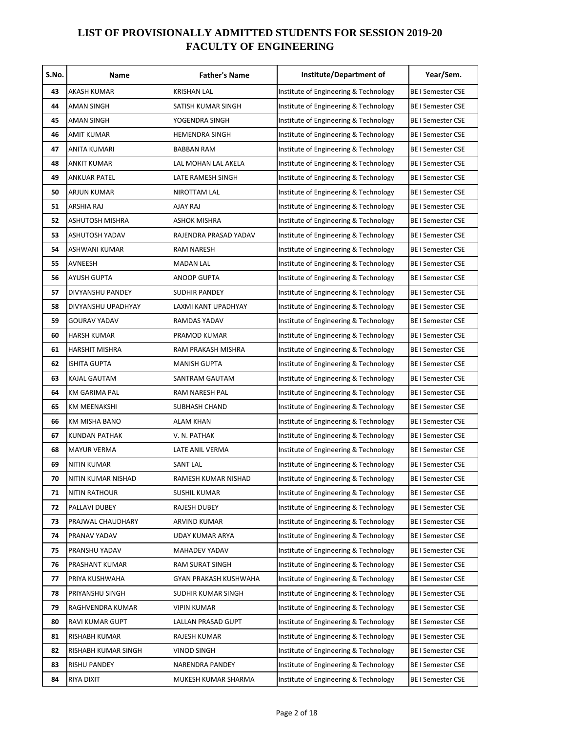| S.No. | Name                  | <b>Father's Name</b>  | Institute/Department of               | Year/Sem.                |
|-------|-----------------------|-----------------------|---------------------------------------|--------------------------|
| 43    | AKASH KUMAR           | <b>KRISHAN LAL</b>    | Institute of Engineering & Technology | <b>BE I Semester CSE</b> |
| 44    | <b>AMAN SINGH</b>     | SATISH KUMAR SINGH    | Institute of Engineering & Technology | <b>BE I Semester CSE</b> |
| 45    | <b>AMAN SINGH</b>     | YOGENDRA SINGH        | Institute of Engineering & Technology | <b>BE I Semester CSE</b> |
| 46    | <b>AMIT KUMAR</b>     | <b>HEMENDRA SINGH</b> | Institute of Engineering & Technology | <b>BE I Semester CSE</b> |
| 47    | ANITA KUMARI          | <b>BABBAN RAM</b>     | Institute of Engineering & Technology | <b>BE I Semester CSE</b> |
| 48    | ANKIT KUMAR           | LAL MOHAN LAL AKELA   | Institute of Engineering & Technology | <b>BE I Semester CSE</b> |
| 49    | <b>ANKUAR PATEL</b>   | LATE RAMESH SINGH     | Institute of Engineering & Technology | <b>BE I Semester CSE</b> |
| 50    | <b>ARJUN KUMAR</b>    | NIROTTAM LAL          | Institute of Engineering & Technology | <b>BE I Semester CSE</b> |
| 51    | ARSHIA RAJ            | AJAY RAJ              | Institute of Engineering & Technology | <b>BE I Semester CSE</b> |
| 52    | ASHUTOSH MISHRA       | ASHOK MISHRA          | Institute of Engineering & Technology | <b>BE I Semester CSE</b> |
| 53    | ASHUTOSH YADAV        | RAJENDRA PRASAD YADAV | Institute of Engineering & Technology | <b>BE I Semester CSE</b> |
| 54    | ASHWANI KUMAR         | <b>RAM NARESH</b>     | Institute of Engineering & Technology | <b>BE I Semester CSE</b> |
| 55    | AVNEESH               | <b>MADAN LAL</b>      | Institute of Engineering & Technology | <b>BE I Semester CSE</b> |
| 56    | <b>AYUSH GUPTA</b>    | <b>ANOOP GUPTA</b>    | Institute of Engineering & Technology | <b>BE I Semester CSE</b> |
| 57    | DIVYANSHU PANDEY      | <b>SUDHIR PANDEY</b>  | Institute of Engineering & Technology | <b>BE I Semester CSE</b> |
| 58    | DIVYANSHU UPADHYAY    | LAXMI KANT UPADHYAY   | Institute of Engineering & Technology | <b>BE I Semester CSE</b> |
| 59    | <b>GOURAV YADAV</b>   | RAMDAS YADAV          | Institute of Engineering & Technology | <b>BE I Semester CSE</b> |
| 60    | <b>HARSH KUMAR</b>    | PRAMOD KUMAR          | Institute of Engineering & Technology | <b>BE I Semester CSE</b> |
| 61    | <b>HARSHIT MISHRA</b> | RAM PRAKASH MISHRA    | Institute of Engineering & Technology | <b>BE I Semester CSE</b> |
| 62    | ISHITA GUPTA          | <b>MANISH GUPTA</b>   | Institute of Engineering & Technology | <b>BE I Semester CSE</b> |
| 63    | KAJAL GAUTAM          | SANTRAM GAUTAM        | Institute of Engineering & Technology | <b>BE I Semester CSE</b> |
| 64    | <b>KM GARIMA PAL</b>  | RAM NARESH PAL        | Institute of Engineering & Technology | <b>BE I Semester CSE</b> |
| 65    | <b>KM MEENAKSHI</b>   | <b>SUBHASH CHAND</b>  | Institute of Engineering & Technology | <b>BE I Semester CSE</b> |
| 66    | <b>KM MISHA BANO</b>  | <b>ALAM KHAN</b>      | Institute of Engineering & Technology | <b>BE I Semester CSE</b> |
| 67    | <b>KUNDAN PATHAK</b>  | V. N. PATHAK          | Institute of Engineering & Technology | <b>BE I Semester CSE</b> |
| 68    | <b>MAYUR VERMA</b>    | LATE ANIL VERMA       | Institute of Engineering & Technology | <b>BE I Semester CSE</b> |
| 69    | <b>NITIN KUMAR</b>    | <b>SANT LAL</b>       | Institute of Engineering & Technology | <b>BE I Semester CSE</b> |
| 70    | NITIN KUMAR NISHAD    | RAMESH KUMAR NISHAD   | Institute of Engineering & Technology | <b>BE I Semester CSE</b> |
| 71    | NITIN RATHOUR         | SUSHIL KUMAR          | Institute of Engineering & Technology | <b>BE I Semester CSE</b> |
| 72    | PALLAVI DUBEY         | <b>RAJESH DUBEY</b>   | Institute of Engineering & Technology | <b>BE I Semester CSE</b> |
| 73    | PRAJWAL CHAUDHARY     | ARVIND KUMAR          | Institute of Engineering & Technology | <b>BE I Semester CSE</b> |
| 74    | PRANAV YADAV          | UDAY KUMAR ARYA       | Institute of Engineering & Technology | <b>BE I Semester CSE</b> |
| 75    | PRANSHU YADAV         | MAHADEV YADAV         | Institute of Engineering & Technology | <b>BE I Semester CSE</b> |
| 76    | PRASHANT KUMAR        | RAM SURAT SINGH       | Institute of Engineering & Technology | <b>BE I Semester CSE</b> |
| 77    | PRIYA KUSHWAHA        | GYAN PRAKASH KUSHWAHA | Institute of Engineering & Technology | <b>BE I Semester CSE</b> |
| 78    | PRIYANSHU SINGH       | SUDHIR KUMAR SINGH    | Institute of Engineering & Technology | <b>BE I Semester CSE</b> |
| 79    | RAGHVENDRA KUMAR      | <b>VIPIN KUMAR</b>    | Institute of Engineering & Technology | <b>BE I Semester CSE</b> |
| 80    | RAVI KUMAR GUPT       | LALLAN PRASAD GUPT    | Institute of Engineering & Technology | <b>BE I Semester CSE</b> |
| 81    | RISHABH KUMAR         | RAJESH KUMAR          | Institute of Engineering & Technology | <b>BE I Semester CSE</b> |
| 82    | RISHABH KUMAR SINGH   | <b>VINOD SINGH</b>    | Institute of Engineering & Technology | <b>BE I Semester CSE</b> |
| 83    | RISHU PANDEY          | NARENDRA PANDEY       | Institute of Engineering & Technology | <b>BE I Semester CSE</b> |
| 84    | RIYA DIXIT            | MUKESH KUMAR SHARMA   | Institute of Engineering & Technology | <b>BE I Semester CSE</b> |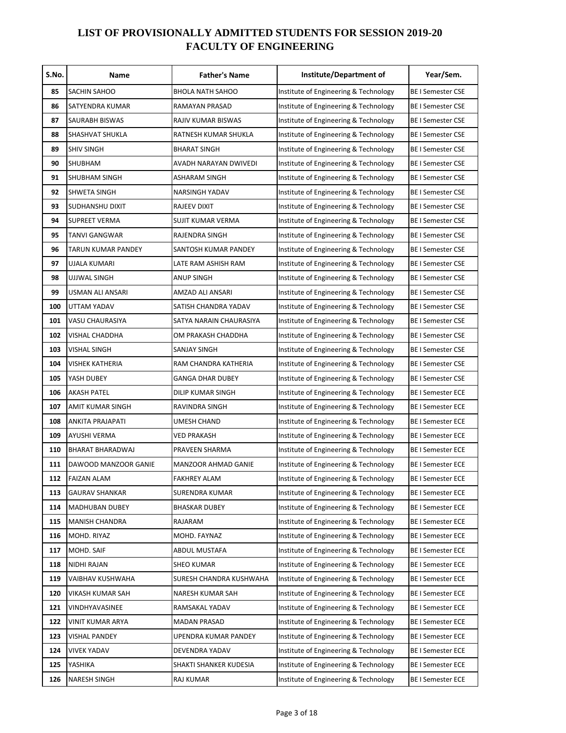| S.No. | Name                    | <b>Father's Name</b>    | Institute/Department of               | Year/Sem.                |
|-------|-------------------------|-------------------------|---------------------------------------|--------------------------|
| 85    | SACHIN SAHOO            | <b>BHOLA NATH SAHOO</b> | Institute of Engineering & Technology | <b>BE I Semester CSE</b> |
| 86    | SATYENDRA KUMAR         | RAMAYAN PRASAD          | Institute of Engineering & Technology | <b>BE I Semester CSE</b> |
| 87    | SAURABH BISWAS          | RAJIV KUMAR BISWAS      | Institute of Engineering & Technology | <b>BE I Semester CSE</b> |
| 88    | <b>SHASHVAT SHUKLA</b>  | RATNESH KUMAR SHUKLA    | Institute of Engineering & Technology | <b>BE I Semester CSE</b> |
| 89    | <b>SHIV SINGH</b>       | <b>BHARAT SINGH</b>     | Institute of Engineering & Technology | <b>BE I Semester CSE</b> |
| 90    | <b>SHUBHAM</b>          | AVADH NARAYAN DWIVEDI   | Institute of Engineering & Technology | <b>BE I Semester CSE</b> |
| 91    | <b>SHUBHAM SINGH</b>    | ASHARAM SINGH           | Institute of Engineering & Technology | <b>BE I Semester CSE</b> |
| 92    | <b>SHWETA SINGH</b>     | <b>NARSINGH YADAV</b>   | Institute of Engineering & Technology | <b>BE I Semester CSE</b> |
| 93    | <b>SUDHANSHU DIXIT</b>  | <b>RAJEEV DIXIT</b>     | Institute of Engineering & Technology | <b>BE I Semester CSE</b> |
| 94    | <b>SUPREET VERMA</b>    | SUJIT KUMAR VERMA       | Institute of Engineering & Technology | <b>BE I Semester CSE</b> |
| 95    | <b>TANVI GANGWAR</b>    | RAJENDRA SINGH          | Institute of Engineering & Technology | <b>BE I Semester CSE</b> |
| 96    | TARUN KUMAR PANDEY      | SANTOSH KUMAR PANDEY    | Institute of Engineering & Technology | <b>BE I Semester CSE</b> |
| 97    | UJALA KUMARI            | LATE RAM ASHISH RAM     | Institute of Engineering & Technology | <b>BE I Semester CSE</b> |
| 98    | UJJWAL SINGH            | <b>ANUP SINGH</b>       | Institute of Engineering & Technology | <b>BE I Semester CSE</b> |
| 99    | USMAN ALI ANSARI        | AMZAD ALI ANSARI        | Institute of Engineering & Technology | <b>BE I Semester CSE</b> |
| 100   | UTTAM YADAV             | SATISH CHANDRA YADAV    | Institute of Engineering & Technology | <b>BE I Semester CSE</b> |
| 101   | <b>VASU CHAURASIYA</b>  | SATYA NARAIN CHAURASIYA | Institute of Engineering & Technology | <b>BE I Semester CSE</b> |
| 102   | VISHAL CHADDHA          | OM PRAKASH CHADDHA      | Institute of Engineering & Technology | <b>BE I Semester CSE</b> |
| 103   | VISHAL SINGH            | SANJAY SINGH            | Institute of Engineering & Technology | <b>BE I Semester CSE</b> |
| 104   | VISHEK KATHERIA         | RAM CHANDRA KATHERIA    | Institute of Engineering & Technology | <b>BE I Semester CSE</b> |
| 105   | YASH DUBEY              | <b>GANGA DHAR DUBEY</b> | Institute of Engineering & Technology | <b>BE I Semester CSE</b> |
| 106   | AKASH PATEL             | DILIP KUMAR SINGH       | Institute of Engineering & Technology | <b>BE I Semester ECE</b> |
| 107   | AMIT KUMAR SINGH        | RAVINDRA SINGH          | Institute of Engineering & Technology | <b>BE I Semester ECE</b> |
| 108   | ANKITA PRAJAPATI        | <b>UMESH CHAND</b>      | Institute of Engineering & Technology | <b>BE I Semester ECE</b> |
| 109   | AYUSHI VERMA            | VED PRAKASH             | Institute of Engineering & Technology | <b>BE I Semester ECE</b> |
| 110   | <b>BHARAT BHARADWAJ</b> | PRAVEEN SHARMA          | Institute of Engineering & Technology | <b>BE I Semester ECE</b> |
| 111   | DAWOOD MANZOOR GANIE    | MANZOOR AHMAD GANIE     | Institute of Engineering & Technology | <b>BE I Semester ECE</b> |
| 112   | <b>FAIZAN ALAM</b>      | <b>FAKHREY ALAM</b>     | Institute of Engineering & Technology | <b>BE I Semester ECE</b> |
| 113   | <b>GAURAV SHANKAR</b>   | SURENDRA KUMAR          | Institute of Engineering & Technology | <b>BE I Semester ECE</b> |
| 114   | <b>MADHUBAN DUBEY</b>   | <b>BHASKAR DUBEY</b>    | Institute of Engineering & Technology | <b>BE I Semester ECE</b> |
| 115   | <b>MANISH CHANDRA</b>   | RAJARAM                 | Institute of Engineering & Technology | <b>BE I Semester ECE</b> |
| 116   | MOHD. RIYAZ             | MOHD. FAYNAZ            | Institute of Engineering & Technology | <b>BE I Semester ECE</b> |
| 117   | MOHD. SAIF              | ABDUL MUSTAFA           | Institute of Engineering & Technology | <b>BE I Semester ECE</b> |
| 118   | NIDHI RAJAN             | <b>SHEO KUMAR</b>       | Institute of Engineering & Technology | <b>BE I Semester ECE</b> |
| 119   | VAIBHAV KUSHWAHA        | SURESH CHANDRA KUSHWAHA | Institute of Engineering & Technology | <b>BE I Semester ECE</b> |
| 120   | VIKASH KUMAR SAH        | NARESH KUMAR SAH        | Institute of Engineering & Technology | <b>BE I Semester ECE</b> |
| 121   | VINDHYAVASINEE          | RAMSAKAL YADAV          | Institute of Engineering & Technology | <b>BE I Semester ECE</b> |
| 122   | VINIT KUMAR ARYA        | <b>MADAN PRASAD</b>     | Institute of Engineering & Technology | <b>BE I Semester ECE</b> |
| 123   | VISHAL PANDEY           | UPENDRA KUMAR PANDEY    | Institute of Engineering & Technology | <b>BE I Semester ECE</b> |
| 124   | <b>VIVEK YADAV</b>      | DEVENDRA YADAV          | Institute of Engineering & Technology | <b>BE I Semester ECE</b> |
| 125   | YASHIKA                 | SHAKTI SHANKER KUDESIA  | Institute of Engineering & Technology | <b>BE I Semester ECE</b> |
| 126   | <b>NARESH SINGH</b>     | <b>RAJ KUMAR</b>        | Institute of Engineering & Technology | <b>BE I Semester ECE</b> |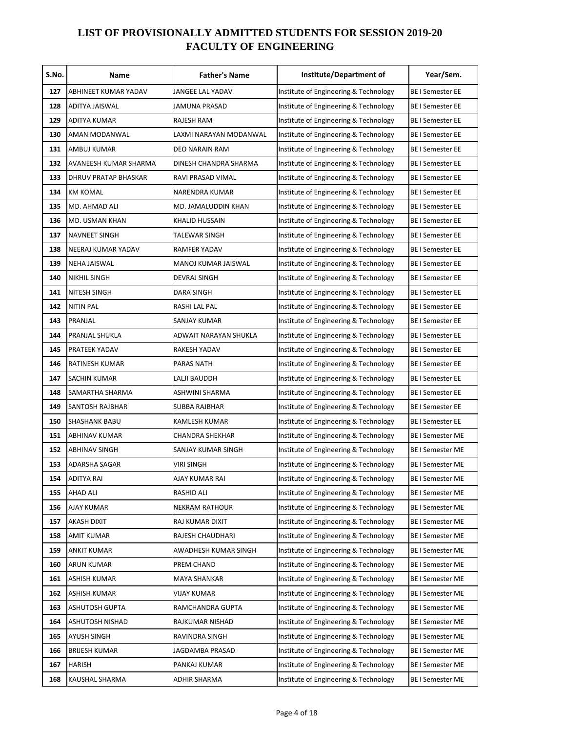| S.No. | Name                   | <b>Father's Name</b>       | Institute/Department of               | Year/Sem.               |
|-------|------------------------|----------------------------|---------------------------------------|-------------------------|
| 127   | ABHINEET KUMAR YADAV   | JANGEE LAL YADAV           | Institute of Engineering & Technology | <b>BE I Semester EE</b> |
| 128   | ADITYA JAISWAL         | JAMUNA PRASAD              | Institute of Engineering & Technology | <b>BE I Semester EE</b> |
| 129   | ADITYA KUMAR           | RAJESH RAM                 | Institute of Engineering & Technology | <b>BE I Semester EE</b> |
| 130   | AMAN MODANWAL          | LAXMI NARAYAN MODANWAL     | Institute of Engineering & Technology | <b>BE I Semester EE</b> |
| 131   | AMBUJ KUMAR            | DEO NARAIN RAM             | Institute of Engineering & Technology | <b>BE I Semester EE</b> |
| 132   | AVANEESH KUMAR SHARMA  | DINESH CHANDRA SHARMA      | Institute of Engineering & Technology | <b>BE I Semester EE</b> |
| 133   | DHRUV PRATAP BHASKAR   | RAVI PRASAD VIMAL          | Institute of Engineering & Technology | <b>BE I Semester EE</b> |
| 134   | <b>KM KOMAL</b>        | NARENDRA KUMAR             | Institute of Engineering & Technology | <b>BE I Semester EE</b> |
| 135   | MD. AHMAD ALI          | MD. JAMALUDDIN KHAN        | Institute of Engineering & Technology | <b>BE I Semester EE</b> |
| 136   | MD. USMAN KHAN         | <b>KHALID HUSSAIN</b>      | Institute of Engineering & Technology | <b>BE I Semester EE</b> |
| 137   | <b>NAVNEET SINGH</b>   | <b>TALEWAR SINGH</b>       | Institute of Engineering & Technology | <b>BE I Semester EE</b> |
| 138   | NEERAJ KUMAR YADAV     | <b>RAMFER YADAV</b>        | Institute of Engineering & Technology | <b>BE I Semester EE</b> |
| 139   | <b>NEHA JAISWAL</b>    | <b>MANOJ KUMAR JAISWAL</b> | Institute of Engineering & Technology | <b>BE I Semester EE</b> |
| 140   | <b>NIKHIL SINGH</b>    | <b>DEVRAJ SINGH</b>        | Institute of Engineering & Technology | <b>BE I Semester EE</b> |
| 141   | NITESH SINGH           | <b>DARA SINGH</b>          | Institute of Engineering & Technology | <b>BE I Semester EE</b> |
| 142   | <b>NITIN PAL</b>       | RASHI LAL PAL              | Institute of Engineering & Technology | <b>BE I Semester EE</b> |
| 143   | PRANJAL                | <b>SANJAY KUMAR</b>        | Institute of Engineering & Technology | <b>BE I Semester EE</b> |
| 144   | PRANJAL SHUKLA         | ADWAIT NARAYAN SHUKLA      | Institute of Engineering & Technology | <b>BE I Semester EE</b> |
| 145   | PRATEEK YADAV          | RAKESH YADAV               | Institute of Engineering & Technology | <b>BE I Semester EE</b> |
| 146   | RATINESH KUMAR         | PARAS NATH                 | Institute of Engineering & Technology | <b>BE I Semester EE</b> |
| 147   | SACHIN KUMAR           | LALJI BAUDDH               | Institute of Engineering & Technology | <b>BE I Semester EE</b> |
| 148   | SAMARTHA SHARMA        | ASHWINI SHARMA             | Institute of Engineering & Technology | <b>BE I Semester EE</b> |
| 149   | <b>SANTOSH RAJBHAR</b> | <b>SUBBA RAJBHAR</b>       | Institute of Engineering & Technology | <b>BE I Semester EE</b> |
| 150   | <b>SHASHANK BABU</b>   | KAMLESH KUMAR              | Institute of Engineering & Technology | <b>BE I Semester EE</b> |
| 151   | ABHINAV KUMAR          | CHANDRA SHEKHAR            | Institute of Engineering & Technology | <b>BE I Semester ME</b> |
| 152   | <b>ABHINAV SINGH</b>   | SANJAY KUMAR SINGH         | Institute of Engineering & Technology | <b>BE I Semester ME</b> |
| 153   | <b>ADARSHA SAGAR</b>   | VIRI SINGH                 | Institute of Engineering & Technology | <b>BE I Semester ME</b> |
| 154   | <b>ADITYA RAI</b>      | AJAY KUMAR RAI             | Institute of Engineering & Technology | <b>BE I Semester ME</b> |
| 155   | AHAD ALI               | RASHID ALI                 | Institute of Engineering & Technology | <b>BE I Semester ME</b> |
| 156   | <b>AJAY KUMAR</b>      | <b>NEKRAM RATHOUR</b>      | Institute of Engineering & Technology | <b>BE I Semester ME</b> |
| 157   | <b>AKASH DIXIT</b>     | RAJ KUMAR DIXIT            | Institute of Engineering & Technology | <b>BE I Semester ME</b> |
| 158   | <b>AMIT KUMAR</b>      | RAJESH CHAUDHARI           | Institute of Engineering & Technology | <b>BE I Semester ME</b> |
| 159   | <b>ANKIT KUMAR</b>     | AWADHESH KUMAR SINGH       | Institute of Engineering & Technology | <b>BE I Semester ME</b> |
| 160   | ARUN KUMAR             | PREM CHAND                 | Institute of Engineering & Technology | <b>BE I Semester ME</b> |
| 161   | ASHISH KUMAR           | <b>MAYA SHANKAR</b>        | Institute of Engineering & Technology | <b>BE I Semester ME</b> |
| 162   | ASHISH KUMAR           | <b>VIJAY KUMAR</b>         | Institute of Engineering & Technology | <b>BE I Semester ME</b> |
| 163   | <b>ASHUTOSH GUPTA</b>  | RAMCHANDRA GUPTA           | Institute of Engineering & Technology | <b>BE I Semester ME</b> |
| 164   | ASHUTOSH NISHAD        | RAJKUMAR NISHAD            | Institute of Engineering & Technology | <b>BE I Semester ME</b> |
| 165   | AYUSH SINGH            | RAVINDRA SINGH             | Institute of Engineering & Technology | <b>BE I Semester ME</b> |
| 166   | BRIJESH KUMAR          | JAGDAMBA PRASAD            | Institute of Engineering & Technology | <b>BE I Semester ME</b> |
| 167   | <b>HARISH</b>          | PANKAJ KUMAR               | Institute of Engineering & Technology | <b>BE I Semester ME</b> |
| 168   | KAUSHAL SHARMA         | <b>ADHIR SHARMA</b>        | Institute of Engineering & Technology | <b>BE I Semester ME</b> |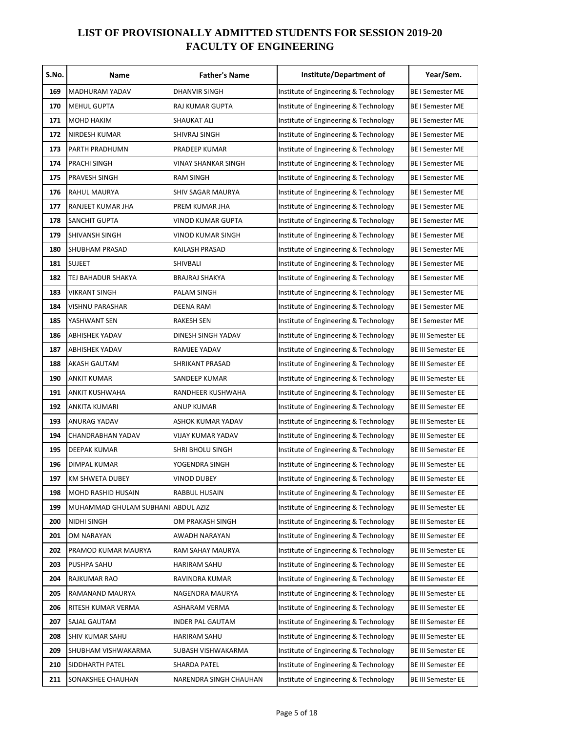| S.No. | Name                               | <b>Father's Name</b>   | Institute/Department of               | Year/Sem.                 |
|-------|------------------------------------|------------------------|---------------------------------------|---------------------------|
| 169   | MADHURAM YADAV                     | DHANVIR SINGH          | Institute of Engineering & Technology | <b>BE I Semester ME</b>   |
| 170   | <b>MEHUL GUPTA</b>                 | RAJ KUMAR GUPTA        | Institute of Engineering & Technology | <b>BE I Semester ME</b>   |
| 171   | MOHD HAKIM                         | SHAUKAT ALI            | Institute of Engineering & Technology | <b>BE I Semester ME</b>   |
| 172   | <b>NIRDESH KUMAR</b>               | SHIVRAJ SINGH          | Institute of Engineering & Technology | <b>BE I Semester ME</b>   |
| 173   | PARTH PRADHUMN                     | PRADEEP KUMAR          | Institute of Engineering & Technology | <b>BE I Semester ME</b>   |
| 174   | PRACHI SINGH                       | VINAY SHANKAR SINGH    | Institute of Engineering & Technology | <b>BE I Semester ME</b>   |
| 175   | PRAVESH SINGH                      | <b>RAM SINGH</b>       | Institute of Engineering & Technology | <b>BE I Semester ME</b>   |
| 176   | RAHUL MAURYA                       | SHIV SAGAR MAURYA      | Institute of Engineering & Technology | <b>BE I Semester ME</b>   |
| 177   | RANJEET KUMAR JHA                  | PREM KUMAR JHA         | Institute of Engineering & Technology | <b>BE I Semester ME</b>   |
| 178   | SANCHIT GUPTA                      | VINOD KUMAR GUPTA      | Institute of Engineering & Technology | <b>BE I Semester ME</b>   |
| 179   | <b>SHIVANSH SINGH</b>              | VINOD KUMAR SINGH      | Institute of Engineering & Technology | <b>BE I Semester ME</b>   |
| 180   | <b>SHUBHAM PRASAD</b>              | KAILASH PRASAD         | Institute of Engineering & Technology | <b>BE I Semester ME</b>   |
| 181   | <b>SUJEET</b>                      | SHIVBALI               | Institute of Engineering & Technology | <b>BE I Semester ME</b>   |
| 182   | TEJ BAHADUR SHAKYA                 | <b>BRAJRAJ SHAKYA</b>  | Institute of Engineering & Technology | <b>BE I Semester ME</b>   |
| 183   | VIKRANT SINGH                      | PALAM SINGH            | Institute of Engineering & Technology | <b>BE I Semester ME</b>   |
| 184   | <b>VISHNU PARASHAR</b>             | <b>DEENA RAM</b>       | Institute of Engineering & Technology | <b>BE I Semester ME</b>   |
| 185   | YASHWANT SEN                       | <b>RAKESH SEN</b>      | Institute of Engineering & Technology | <b>BE I Semester ME</b>   |
| 186   | <b>ABHISHEK YADAV</b>              | DINESH SINGH YADAV     | Institute of Engineering & Technology | <b>BE III Semester EE</b> |
| 187   | ABHISHEK YADAV                     | RAMJEE YADAV           | Institute of Engineering & Technology | <b>BE III Semester EE</b> |
| 188   | AKASH GAUTAM                       | SHRIKANT PRASAD        | Institute of Engineering & Technology | <b>BE III Semester EE</b> |
| 190   | <b>ANKIT KUMAR</b>                 | SANDEEP KUMAR          | Institute of Engineering & Technology | <b>BE III Semester EE</b> |
| 191   | ANKIT KUSHWAHA                     | RANDHEER KUSHWAHA      | Institute of Engineering & Technology | <b>BE III Semester EE</b> |
| 192   | ANKITA KUMARI                      | <b>ANUP KUMAR</b>      | Institute of Engineering & Technology | <b>BE III Semester EE</b> |
| 193   | <b>ANURAG YADAV</b>                | ASHOK KUMAR YADAV      | Institute of Engineering & Technology | <b>BE III Semester EE</b> |
| 194   | CHANDRABHAN YADAV                  | VIJAY KUMAR YADAV      | Institute of Engineering & Technology | <b>BE III Semester EE</b> |
| 195   | <b>DEEPAK KUMAR</b>                | SHRI BHOLU SINGH       | Institute of Engineering & Technology | <b>BE III Semester EE</b> |
| 196   | DIMPAL KUMAR                       | YOGENDRA SINGH         | Institute of Engineering & Technology | <b>BE III Semester EE</b> |
| 197   | <b>KM SHWETA DUBEY</b>             | <b>VINOD DUBEY</b>     | Institute of Engineering & Technology | <b>BE III Semester EE</b> |
| 198   | <b>MOHD RASHID HUSAIN</b>          | RABBUL HUSAIN          | Institute of Engineering & Technology | <b>BE III Semester EE</b> |
| 199   | MUHAMMAD GHULAM SUBHANI ABDUL AZIZ |                        | Institute of Engineering & Technology | <b>BE III Semester EE</b> |
| 200   | NIDHI SINGH                        | OM PRAKASH SINGH       | Institute of Engineering & Technology | BE III Semester EE        |
| 201   | OM NARAYAN                         | AWADH NARAYAN          | Institute of Engineering & Technology | <b>BE III Semester EE</b> |
| 202   | PRAMOD KUMAR MAURYA                | RAM SAHAY MAURYA       | Institute of Engineering & Technology | <b>BE III Semester EE</b> |
| 203   | PUSHPA SAHU                        | HARIRAM SAHU           | Institute of Engineering & Technology | <b>BE III Semester EE</b> |
| 204   | RAJKUMAR RAO                       | RAVINDRA KUMAR         | Institute of Engineering & Technology | <b>BE III Semester EE</b> |
| 205   | RAMANAND MAURYA                    | NAGENDRA MAURYA        | Institute of Engineering & Technology | <b>BE III Semester EE</b> |
| 206   | RITESH KUMAR VERMA                 | ASHARAM VERMA          | Institute of Engineering & Technology | <b>BE III Semester EE</b> |
| 207   | SAJAL GAUTAM                       | INDER PAL GAUTAM       | Institute of Engineering & Technology | <b>BE III Semester EE</b> |
| 208   | SHIV KUMAR SAHU                    | HARIRAM SAHU           | Institute of Engineering & Technology | <b>BE III Semester EE</b> |
| 209   | SHUBHAM VISHWAKARMA                | SUBASH VISHWAKARMA     | Institute of Engineering & Technology | <b>BE III Semester EE</b> |
| 210   | SIDDHARTH PATEL                    | SHARDA PATEL           | Institute of Engineering & Technology | BE III Semester EE        |
| 211   | SONAKSHEE CHAUHAN                  | NARENDRA SINGH CHAUHAN | Institute of Engineering & Technology | <b>BE III Semester EE</b> |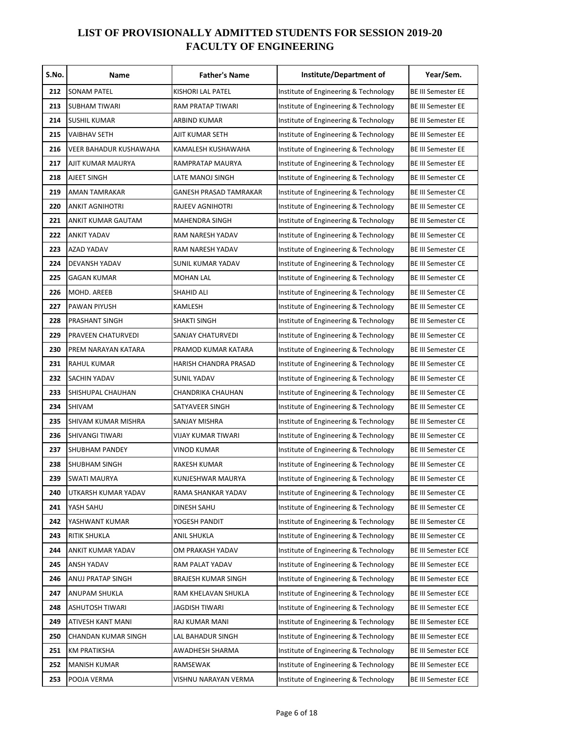| S.No. | Name                   | <b>Father's Name</b>       | Institute/Department of               | Year/Sem.                  |
|-------|------------------------|----------------------------|---------------------------------------|----------------------------|
| 212   | <b>SONAM PATEL</b>     | KISHORI LAL PATEL          | Institute of Engineering & Technology | <b>BE III Semester EE</b>  |
| 213   | <b>SUBHAM TIWARI</b>   | RAM PRATAP TIWARI          | Institute of Engineering & Technology | <b>BE III Semester EE</b>  |
| 214   | <b>SUSHIL KUMAR</b>    | ARBIND KUMAR               | Institute of Engineering & Technology | <b>BE III Semester EE</b>  |
| 215   | <b>VAIBHAV SETH</b>    | AJIT KUMAR SETH            | Institute of Engineering & Technology | <b>BE III Semester EE</b>  |
| 216   | VEER BAHADUR KUSHAWAHA | KAMALESH KUSHAWAHA         | Institute of Engineering & Technology | <b>BE III Semester EE</b>  |
| 217   | AJIT KUMAR MAURYA      | RAMPRATAP MAURYA           | Institute of Engineering & Technology | <b>BE III Semester EE</b>  |
| 218   | AJEET SINGH            | LATE MANOJ SINGH           | Institute of Engineering & Technology | <b>BE III Semester CE</b>  |
| 219   | AMAN TAMRAKAR          | GANESH PRASAD TAMRAKAR     | Institute of Engineering & Technology | <b>BE III Semester CE</b>  |
| 220   | ANKIT AGNIHOTRI        | RAJEEV AGNIHOTRI           | Institute of Engineering & Technology | <b>BE III Semester CE</b>  |
| 221   | ANKIT KUMAR GAUTAM     | <b>MAHENDRA SINGH</b>      | Institute of Engineering & Technology | <b>BE III Semester CE</b>  |
| 222   | <b>ANKIT YADAV</b>     | RAM NARESH YADAV           | Institute of Engineering & Technology | <b>BE III Semester CE</b>  |
| 223   | <b>AZAD YADAV</b>      | RAM NARESH YADAV           | Institute of Engineering & Technology | <b>BE III Semester CE</b>  |
| 224   | DEVANSH YADAV          | <b>SUNIL KUMAR YADAV</b>   | Institute of Engineering & Technology | <b>BE III Semester CE</b>  |
| 225   | <b>GAGAN KUMAR</b>     | <b>MOHAN LAL</b>           | Institute of Engineering & Technology | <b>BE III Semester CE</b>  |
| 226   | MOHD, AREEB            | SHAHID ALI                 | Institute of Engineering & Technology | <b>BE III Semester CE</b>  |
| 227   | PAWAN PIYUSH           | KAMLESH                    | Institute of Engineering & Technology | <b>BE III Semester CE</b>  |
| 228   | <b>PRASHANT SINGH</b>  | <b>SHAKTI SINGH</b>        | Institute of Engineering & Technology | <b>BE III Semester CE</b>  |
| 229   | PRAVEEN CHATURVEDI     | SANJAY CHATURVEDI          | Institute of Engineering & Technology | <b>BE III Semester CE</b>  |
| 230   | PREM NARAYAN KATARA    | PRAMOD KUMAR KATARA        | Institute of Engineering & Technology | <b>BE III Semester CE</b>  |
| 231   | RAHUL KUMAR            | HARISH CHANDRA PRASAD      | Institute of Engineering & Technology | <b>BE III Semester CE</b>  |
| 232   | SACHIN YADAV           | <b>SUNIL YADAV</b>         | Institute of Engineering & Technology | <b>BE III Semester CE</b>  |
| 233   | SHISHUPAL CHAUHAN      | CHANDRIKA CHAUHAN          | Institute of Engineering & Technology | <b>BE III Semester CE</b>  |
| 234   | SHIVAM                 | SATYAVEER SINGH            | Institute of Engineering & Technology | <b>BE III Semester CE</b>  |
| 235   | SHIVAM KUMAR MISHRA    | SANJAY MISHRA              | Institute of Engineering & Technology | <b>BE III Semester CE</b>  |
| 236   | <b>SHIVANGI TIWARI</b> | VIJAY KUMAR TIWARI         | Institute of Engineering & Technology | <b>BE III Semester CE</b>  |
| 237   | <b>SHUBHAM PANDEY</b>  | <b>VINOD KUMAR</b>         | Institute of Engineering & Technology | <b>BE III Semester CE</b>  |
| 238   | <b>SHUBHAM SINGH</b>   | <b>RAKESH KUMAR</b>        | Institute of Engineering & Technology | <b>BE III Semester CE</b>  |
| 239   | <b>SWATI MAURYA</b>    | KUNJESHWAR MAURYA          | Institute of Engineering & Technology | <b>BE III Semester CE</b>  |
| 240   | UTKARSH KUMAR YADAV    | RAMA SHANKAR YADAV         | Institute of Engineering & Technology | <b>BE III Semester CE</b>  |
| 241   | YASH SAHU              | <b>DINESH SAHU</b>         | Institute of Engineering & Technology | <b>BE III Semester CE</b>  |
| 242   | YASHWANT KUMAR         | YOGESH PANDIT              | Institute of Engineering & Technology | <b>BE III Semester CE</b>  |
| 243   | RITIK SHUKLA           | ANIL SHUKLA                | Institute of Engineering & Technology | <b>BE III Semester CE</b>  |
| 244   | ANKIT KUMAR YADAV      | OM PRAKASH YADAV           | Institute of Engineering & Technology | <b>BE III Semester ECE</b> |
| 245   | ANSH YADAV             | RAM PALAT YADAV            | Institute of Engineering & Technology | <b>BE III Semester ECE</b> |
| 246   | ANUJ PRATAP SINGH      | <b>BRAJESH KUMAR SINGH</b> | Institute of Engineering & Technology | <b>BE III Semester ECE</b> |
| 247   | ANUPAM SHUKLA          | RAM KHELAVAN SHUKLA        | Institute of Engineering & Technology | <b>BE III Semester ECE</b> |
| 248   | ASHUTOSH TIWARI        | JAGDISH TIWARI             | Institute of Engineering & Technology | <b>BE III Semester ECE</b> |
| 249   | ATIVESH KANT MANI      | RAJ KUMAR MANI             | Institute of Engineering & Technology | <b>BE III Semester ECE</b> |
| 250   | CHANDAN KUMAR SINGH    | LAL BAHADUR SINGH          | Institute of Engineering & Technology | <b>BE III Semester ECE</b> |
| 251   | KM PRATIKSHA           | AWADHESH SHARMA            | Institute of Engineering & Technology | <b>BE III Semester ECE</b> |
| 252   | MANISH KUMAR           | RAMSEWAK                   | Institute of Engineering & Technology | <b>BE III Semester ECE</b> |
| 253   | POOJA VERMA            | VISHNU NARAYAN VERMA       | Institute of Engineering & Technology | <b>BE III Semester ECE</b> |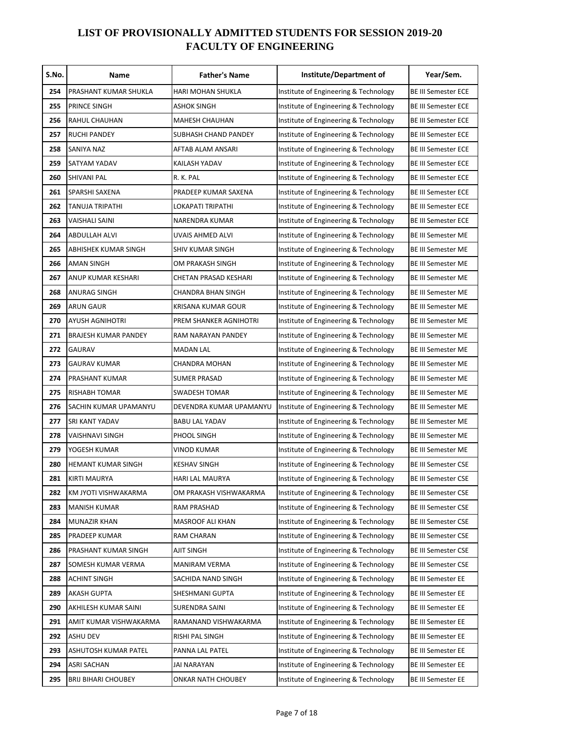| S.No. | Name                        | <b>Father's Name</b>      | Institute/Department of               | Year/Sem.                  |
|-------|-----------------------------|---------------------------|---------------------------------------|----------------------------|
| 254   | PRASHANT KUMAR SHUKLA       | <b>HARI MOHAN SHUKLA</b>  | Institute of Engineering & Technology | <b>BE III Semester ECE</b> |
| 255   | PRINCE SINGH                | ASHOK SINGH               | Institute of Engineering & Technology | <b>BE III Semester ECE</b> |
| 256   | RAHUL CHAUHAN               | <b>MAHESH CHAUHAN</b>     | Institute of Engineering & Technology | <b>BE III Semester ECE</b> |
| 257   | <b>RUCHI PANDEY</b>         | SUBHASH CHAND PANDEY      | Institute of Engineering & Technology | <b>BE III Semester ECE</b> |
| 258   | <b>SANIYA NAZ</b>           | AFTAB ALAM ANSARI         | Institute of Engineering & Technology | <b>BE III Semester ECE</b> |
| 259   | SATYAM YADAV                | KAILASH YADAV             | Institute of Engineering & Technology | <b>BE III Semester ECE</b> |
| 260   | <b>SHIVANI PAL</b>          | R. K. PAL                 | Institute of Engineering & Technology | <b>BE III Semester ECE</b> |
| 261   | <b>SPARSHI SAXENA</b>       | PRADEEP KUMAR SAXENA      | Institute of Engineering & Technology | <b>BE III Semester ECE</b> |
| 262   | TANUJA TRIPATHI             | LOKAPATI TRIPATHI         | Institute of Engineering & Technology | <b>BE III Semester ECE</b> |
| 263   | VAISHALI SAINI              | NARENDRA KUMAR            | Institute of Engineering & Technology | <b>BE III Semester ECE</b> |
| 264   | <b>ABDULLAH ALVI</b>        | UVAIS AHMED ALVI          | Institute of Engineering & Technology | <b>BE III Semester ME</b>  |
| 265   | ABHISHEK KUMAR SINGH        | SHIV KUMAR SINGH          | Institute of Engineering & Technology | <b>BE III Semester ME</b>  |
| 266   | <b>AMAN SINGH</b>           | OM PRAKASH SINGH          | Institute of Engineering & Technology | <b>BE III Semester ME</b>  |
| 267   | ANUP KUMAR KESHARI          | CHETAN PRASAD KESHARI     | Institute of Engineering & Technology | <b>BE III Semester ME</b>  |
| 268   | <b>ANURAG SINGH</b>         | CHANDRA BHAN SINGH        | Institute of Engineering & Technology | <b>BE III Semester ME</b>  |
| 269   | <b>ARUN GAUR</b>            | <b>KRISANA KUMAR GOUR</b> | Institute of Engineering & Technology | <b>BE III Semester ME</b>  |
| 270   | <b>AYUSH AGNIHOTRI</b>      | PREM SHANKER AGNIHOTRI    | Institute of Engineering & Technology | <b>BE III Semester ME</b>  |
| 271   | <b>BRAJESH KUMAR PANDEY</b> | RAM NARAYAN PANDEY        | Institute of Engineering & Technology | <b>BE III Semester ME</b>  |
| 272   | <b>GAURAV</b>               | <b>MADAN LAL</b>          | Institute of Engineering & Technology | <b>BE III Semester ME</b>  |
| 273   | <b>GAURAV KUMAR</b>         | CHANDRA MOHAN             | Institute of Engineering & Technology | <b>BE III Semester ME</b>  |
| 274   | PRASHANT KUMAR              | <b>SUMER PRASAD</b>       | Institute of Engineering & Technology | <b>BE III Semester ME</b>  |
| 275   | <b>RISHABH TOMAR</b>        | <b>SWADESH TOMAR</b>      | Institute of Engineering & Technology | <b>BE III Semester ME</b>  |
| 276   | SACHIN KUMAR UPAMANYU       | DEVENDRA KUMAR UPAMANYU   | Institute of Engineering & Technology | <b>BE III Semester ME</b>  |
| 277   | <b>SRI KANT YADAV</b>       | <b>BABU LAL YADAV</b>     | Institute of Engineering & Technology | <b>BE III Semester ME</b>  |
| 278   | VAISHNAVI SINGH             | PHOOL SINGH               | Institute of Engineering & Technology | <b>BE III Semester ME</b>  |
| 279   | YOGESH KUMAR                | <b>VINOD KUMAR</b>        | Institute of Engineering & Technology | <b>BE III Semester ME</b>  |
| 280   | <b>HEMANT KUMAR SINGH</b>   | <b>KESHAV SINGH</b>       | Institute of Engineering & Technology | <b>BE III Semester CSE</b> |
| 281   | <b>KIRTI MAURYA</b>         | HARI LAL MAURYA           | Institute of Engineering & Technology | <b>BE III Semester CSE</b> |
| 282   | KM JYOTI VISHWAKARMA        | OM PRAKASH VISHWAKARMA    | Institute of Engineering & Technology | <b>BE III Semester CSE</b> |
| 283   | MANISH KUMAR                | RAM PRASHAD               | Institute of Engineering & Technology | <b>BE III Semester CSE</b> |
| 284   | MUNAZIR KHAN                | MASROOF ALI KHAN          | Institute of Engineering & Technology | BE III Semester CSE        |
| 285   | PRADEEP KUMAR               | RAM CHARAN                | Institute of Engineering & Technology | <b>BE III Semester CSE</b> |
| 286   | PRASHANT KUMAR SINGH        | AJIT SINGH                | Institute of Engineering & Technology | <b>BE III Semester CSE</b> |
| 287   | SOMESH KUMAR VERMA          | MANIRAM VERMA             | Institute of Engineering & Technology | <b>BE III Semester CSE</b> |
| 288   | ACHINT SINGH                | SACHIDA NAND SINGH        | Institute of Engineering & Technology | <b>BE III Semester EE</b>  |
| 289   | <b>AKASH GUPTA</b>          | SHESHMANI GUPTA           | Institute of Engineering & Technology | BE III Semester EE         |
| 290   | AKHILESH KUMAR SAINI        | <b>SURENDRA SAINI</b>     | Institute of Engineering & Technology | <b>BE III Semester EE</b>  |
| 291   | AMIT KUMAR VISHWAKARMA      | RAMANAND VISHWAKARMA      | Institute of Engineering & Technology | <b>BE III Semester EE</b>  |
| 292   | ASHU DEV                    | RISHI PAL SINGH           | Institute of Engineering & Technology | <b>BE III Semester EE</b>  |
| 293   | ASHUTOSH KUMAR PATEL        | PANNA LAL PATEL           | Institute of Engineering & Technology | <b>BE III Semester EE</b>  |
| 294   | ASRI SACHAN                 | JAI NARAYAN               | Institute of Engineering & Technology | <b>BE III Semester EE</b>  |
| 295   | <b>BRIJ BIHARI CHOUBEY</b>  | ONKAR NATH CHOUBEY        | Institute of Engineering & Technology | BE III Semester EE         |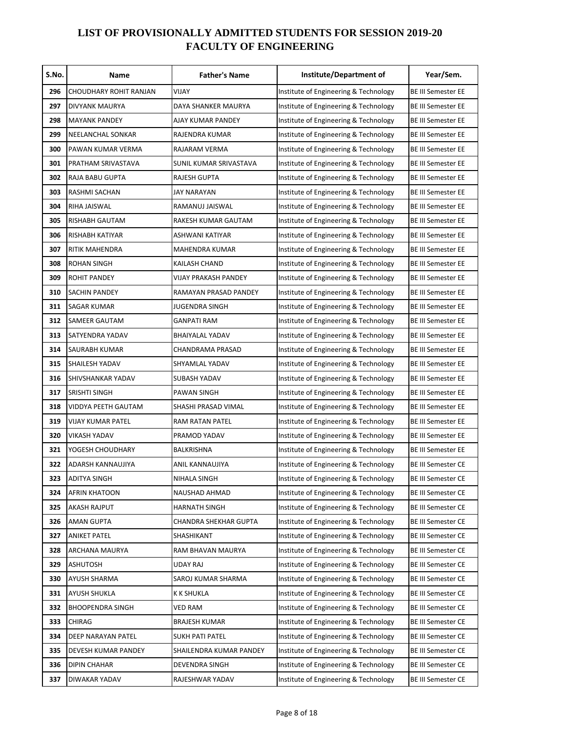| S.No. | Name                     | <b>Father's Name</b>        | Institute/Department of               | Year/Sem.                 |
|-------|--------------------------|-----------------------------|---------------------------------------|---------------------------|
| 296   | CHOUDHARY ROHIT RANJAN   | VIJAY                       | Institute of Engineering & Technology | <b>BE III Semester EE</b> |
| 297   | DIVYANK MAURYA           | DAYA SHANKER MAURYA         | Institute of Engineering & Technology | <b>BE III Semester EE</b> |
| 298   | <b>MAYANK PANDEY</b>     | AJAY KUMAR PANDEY           | Institute of Engineering & Technology | <b>BE III Semester EE</b> |
| 299   | NEELANCHAL SONKAR        | RAJENDRA KUMAR              | Institute of Engineering & Technology | <b>BE III Semester EE</b> |
| 300   | PAWAN KUMAR VERMA        | RAJARAM VERMA               | Institute of Engineering & Technology | <b>BE III Semester EE</b> |
| 301   | PRATHAM SRIVASTAVA       | SUNIL KUMAR SRIVASTAVA      | Institute of Engineering & Technology | <b>BE III Semester EE</b> |
| 302   | <b>RAJA BABU GUPTA</b>   | <b>RAJESH GUPTA</b>         | Institute of Engineering & Technology | <b>BE III Semester EE</b> |
| 303   | RASHMI SACHAN            | JAY NARAYAN                 | Institute of Engineering & Technology | <b>BE III Semester EE</b> |
| 304   | RIHA JAISWAL             | RAMANUJ JAISWAL             | Institute of Engineering & Technology | <b>BE III Semester EE</b> |
| 305   | RISHABH GAUTAM           | RAKESH KUMAR GAUTAM         | Institute of Engineering & Technology | <b>BE III Semester EE</b> |
| 306   | RISHABH KATIYAR          | ASHWANI KATIYAR             | Institute of Engineering & Technology | <b>BE III Semester EE</b> |
| 307   | <b>RITIK MAHENDRA</b>    | MAHENDRA KUMAR              | Institute of Engineering & Technology | <b>BE III Semester EE</b> |
| 308   | <b>ROHAN SINGH</b>       | <b>KAILASH CHAND</b>        | Institute of Engineering & Technology | <b>BE III Semester EE</b> |
| 309   | <b>ROHIT PANDEY</b>      | <b>VIJAY PRAKASH PANDEY</b> | Institute of Engineering & Technology | <b>BE III Semester EE</b> |
| 310   | <b>SACHIN PANDEY</b>     | RAMAYAN PRASAD PANDEY       | Institute of Engineering & Technology | <b>BE III Semester EE</b> |
| 311   | <b>SAGAR KUMAR</b>       | <b>JUGENDRA SINGH</b>       | Institute of Engineering & Technology | <b>BE III Semester EE</b> |
| 312   | <b>SAMEER GAUTAM</b>     | <b>GANPATI RAM</b>          | Institute of Engineering & Technology | <b>BE III Semester EE</b> |
| 313   | SATYENDRA YADAV          | <b>BHAIYALAL YADAV</b>      | Institute of Engineering & Technology | <b>BE III Semester EE</b> |
| 314   | SAURABH KUMAR            | CHANDRAMA PRASAD            | Institute of Engineering & Technology | <b>BE III Semester EE</b> |
| 315   | SHAILESH YADAV           | SHYAMLAL YADAV              | Institute of Engineering & Technology | <b>BE III Semester EE</b> |
| 316   | SHIVSHANKAR YADAV        | <b>SUBASH YADAV</b>         | Institute of Engineering & Technology | <b>BE III Semester EE</b> |
| 317   | SRISHTI SINGH            | PAWAN SINGH                 | Institute of Engineering & Technology | <b>BE III Semester EE</b> |
| 318   | VIDDYA PEETH GAUTAM      | SHASHI PRASAD VIMAL         | Institute of Engineering & Technology | <b>BE III Semester EE</b> |
| 319   | <b>VIJAY KUMAR PATEL</b> | RAM RATAN PATEL             | Institute of Engineering & Technology | <b>BE III Semester EE</b> |
| 320   | VIKASH YADAV             | PRAMOD YADAV                | Institute of Engineering & Technology | <b>BE III Semester EE</b> |
| 321   | YOGESH CHOUDHARY         | BALKRISHNA                  | Institute of Engineering & Technology | <b>BE III Semester EE</b> |
| 322   | ADARSH KANNAUJIYA        | ANIL KANNAUJIYA             | Institute of Engineering & Technology | <b>BE III Semester CE</b> |
| 323   | <b>ADITYA SINGH</b>      | NIHALA SINGH                | Institute of Engineering & Technology | <b>BE III Semester CE</b> |
| 324   | <b>AFRIN KHATOON</b>     | NAUSHAD AHMAD               | Institute of Engineering & Technology | <b>BE III Semester CE</b> |
| 325   | <b>AKASH RAJPUT</b>      | <b>HARNATH SINGH</b>        | Institute of Engineering & Technology | <b>BE III Semester CE</b> |
| 326   | AMAN GUPTA               | CHANDRA SHEKHAR GUPTA       | Institute of Engineering & Technology | BE III Semester CE        |
| 327   | <b>ANIKET PATEL</b>      | SHASHIKANT                  | Institute of Engineering & Technology | <b>BE III Semester CE</b> |
| 328   | ARCHANA MAURYA           | RAM BHAVAN MAURYA           | Institute of Engineering & Technology | <b>BE III Semester CE</b> |
| 329   | ASHUTOSH                 | UDAY RAJ                    | Institute of Engineering & Technology | <b>BE III Semester CE</b> |
| 330   | AYUSH SHARMA             | SAROJ KUMAR SHARMA          | Institute of Engineering & Technology | <b>BE III Semester CE</b> |
| 331   | <b>AYUSH SHUKLA</b>      | <b>K K SHUKLA</b>           | Institute of Engineering & Technology | <b>BE III Semester CE</b> |
| 332   | BHOOPENDRA SINGH         | VED RAM                     | Institute of Engineering & Technology | <b>BE III Semester CE</b> |
| 333   | CHIRAG                   | <b>BRAJESH KUMAR</b>        | Institute of Engineering & Technology | <b>BE III Semester CE</b> |
| 334   | DEEP NARAYAN PATEL       | <b>SUKH PATI PATEL</b>      | Institute of Engineering & Technology | <b>BE III Semester CE</b> |
| 335   | DEVESH KUMAR PANDEY      | SHAILENDRA KUMAR PANDEY     | Institute of Engineering & Technology | <b>BE III Semester CE</b> |
| 336   | DIPIN CHAHAR             | DEVENDRA SINGH              | Institute of Engineering & Technology | <b>BE III Semester CE</b> |
| 337   | DIWAKAR YADAV            | RAJESHWAR YADAV             | Institute of Engineering & Technology | <b>BE III Semester CE</b> |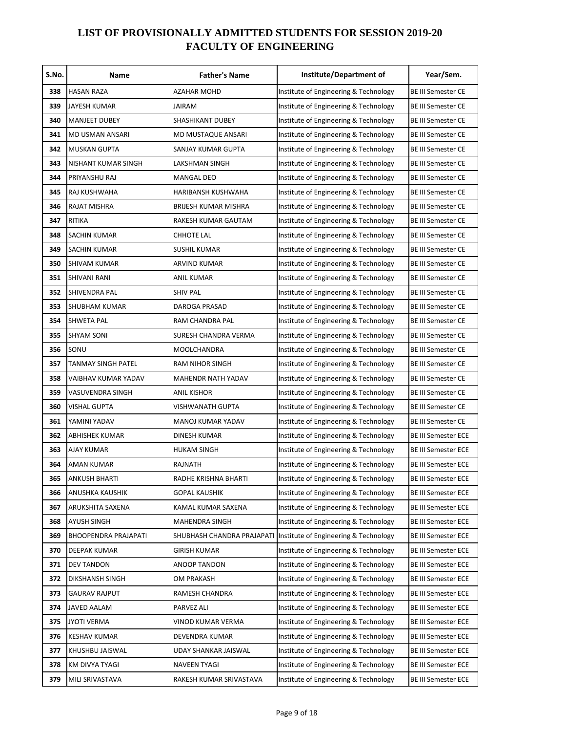| S.No. | Name                        | <b>Father's Name</b>        | Institute/Department of               | Year/Sem.                  |
|-------|-----------------------------|-----------------------------|---------------------------------------|----------------------------|
| 338   | <b>HASAN RAZA</b>           | AZAHAR MOHD                 | Institute of Engineering & Technology | <b>BE III Semester CE</b>  |
| 339   | <b>JAYESH KUMAR</b>         | <b>JAIRAM</b>               | Institute of Engineering & Technology | <b>BE III Semester CE</b>  |
| 340   | <b>MANJEET DUBEY</b>        | SHASHIKANT DUBEY            | Institute of Engineering & Technology | <b>BE III Semester CE</b>  |
| 341   | <b>MD USMAN ANSARI</b>      | MD MUSTAQUE ANSARI          | Institute of Engineering & Technology | <b>BE III Semester CE</b>  |
| 342   | <b>MUSKAN GUPTA</b>         | SANJAY KUMAR GUPTA          | Institute of Engineering & Technology | <b>BE III Semester CE</b>  |
| 343   | NISHANT KUMAR SINGH         | LAKSHMAN SINGH              | Institute of Engineering & Technology | <b>BE III Semester CE</b>  |
| 344   | PRIYANSHU RAJ               | MANGAL DEO                  | Institute of Engineering & Technology | <b>BE III Semester CE</b>  |
| 345   | RAJ KUSHWAHA                | HARIBANSH KUSHWAHA          | Institute of Engineering & Technology | <b>BE III Semester CE</b>  |
| 346   | RAJAT MISHRA                | <b>BRIJESH KUMAR MISHRA</b> | Institute of Engineering & Technology | <b>BE III Semester CE</b>  |
| 347   | RITIKA                      | RAKESH KUMAR GAUTAM         | Institute of Engineering & Technology | <b>BE III Semester CE</b>  |
| 348   | <b>SACHIN KUMAR</b>         | CHHOTE LAL                  | Institute of Engineering & Technology | <b>BE III Semester CE</b>  |
| 349   | <b>SACHIN KUMAR</b>         | <b>SUSHIL KUMAR</b>         | Institute of Engineering & Technology | <b>BE III Semester CE</b>  |
| 350   | SHIVAM KUMAR                | <b>ARVIND KUMAR</b>         | Institute of Engineering & Technology | <b>BE III Semester CE</b>  |
| 351   | <b>SHIVANI RANI</b>         | <b>ANIL KUMAR</b>           | Institute of Engineering & Technology | <b>BE III Semester CE</b>  |
| 352   | SHIVENDRA PAL               | <b>SHIV PAL</b>             | Institute of Engineering & Technology | <b>BE III Semester CE</b>  |
| 353   | SHUBHAM KUMAR               | <b>DAROGA PRASAD</b>        | Institute of Engineering & Technology | <b>BE III Semester CE</b>  |
| 354   | <b>SHWETA PAL</b>           | <b>RAM CHANDRA PAL</b>      | Institute of Engineering & Technology | <b>BE III Semester CE</b>  |
| 355   | <b>SHYAM SONI</b>           | SURESH CHANDRA VERMA        | Institute of Engineering & Technology | <b>BE III Semester CE</b>  |
| 356   | SONU                        | MOOLCHANDRA                 | Institute of Engineering & Technology | <b>BE III Semester CE</b>  |
| 357   | TANMAY SINGH PATEL          | RAM NIHOR SINGH             | Institute of Engineering & Technology | <b>BE III Semester CE</b>  |
| 358   | VAIBHAV KUMAR YADAV         | <b>MAHENDR NATH YADAV</b>   | Institute of Engineering & Technology | <b>BE III Semester CE</b>  |
| 359   | VASUVENDRA SINGH            | ANIL KISHOR                 | Institute of Engineering & Technology | <b>BE III Semester CE</b>  |
| 360   | VISHAL GUPTA                | <b>VISHWANATH GUPTA</b>     | Institute of Engineering & Technology | <b>BE III Semester CE</b>  |
| 361   | YAMINI YADAV                | MANOJ KUMAR YADAV           | Institute of Engineering & Technology | <b>BE III Semester CE</b>  |
| 362   | ABHISHEK KUMAR              | <b>DINESH KUMAR</b>         | Institute of Engineering & Technology | <b>BE III Semester ECE</b> |
| 363   | <b>AJAY KUMAR</b>           | <b>HUKAM SINGH</b>          | Institute of Engineering & Technology | <b>BE III Semester ECE</b> |
| 364   | AMAN KUMAR                  | RAJNATH                     | Institute of Engineering & Technology | <b>BE III Semester ECE</b> |
| 365   | <b>ANKUSH BHARTI</b>        | RADHE KRISHNA BHARTI        | Institute of Engineering & Technology | <b>BE III Semester ECE</b> |
| 366   | ANUSHKA KAUSHIK             | GOPAL KAUSHIK               | Institute of Engineering & Technology | <b>BE III Semester ECE</b> |
| 367   | ARUKSHITA SAXENA            | KAMAL KUMAR SAXENA          | Institute of Engineering & Technology | <b>BE III Semester ECE</b> |
| 368   | AYUSH SINGH                 | MAHENDRA SINGH              | Institute of Engineering & Technology | <b>BE III Semester ECE</b> |
| 369   | <b>BHOOPENDRA PRAJAPATI</b> | SHUBHASH CHANDRA PRAJAPATI  | Institute of Engineering & Technology | <b>BE III Semester ECE</b> |
| 370   | <b>DEEPAK KUMAR</b>         | <b>GIRISH KUMAR</b>         | Institute of Engineering & Technology | <b>BE III Semester ECE</b> |
| 371   | DEV TANDON                  | <b>ANOOP TANDON</b>         | Institute of Engineering & Technology | <b>BE III Semester ECE</b> |
| 372   | DIKSHANSH SINGH             | OM PRAKASH                  | Institute of Engineering & Technology | <b>BE III Semester ECE</b> |
| 373   | <b>GAURAV RAJPUT</b>        | RAMESH CHANDRA              | Institute of Engineering & Technology | <b>BE III Semester ECE</b> |
| 374   | <b>JAVED AALAM</b>          | PARVEZ ALI                  | Institute of Engineering & Technology | <b>BE III Semester ECE</b> |
| 375   | <b>JYOTI VERMA</b>          | VINOD KUMAR VERMA           | Institute of Engineering & Technology | <b>BE III Semester ECE</b> |
| 376   | <b>KESHAV KUMAR</b>         | DEVENDRA KUMAR              | Institute of Engineering & Technology | <b>BE III Semester ECE</b> |
| 377   | KHUSHBU JAISWAL             | UDAY SHANKAR JAISWAL        | Institute of Engineering & Technology | <b>BE III Semester ECE</b> |
| 378   | KM DIVYA TYAGI              | <b>NAVEEN TYAGI</b>         | Institute of Engineering & Technology | <b>BE III Semester ECE</b> |
| 379   | MILI SRIVASTAVA             | RAKESH KUMAR SRIVASTAVA     | Institute of Engineering & Technology | <b>BE III Semester ECE</b> |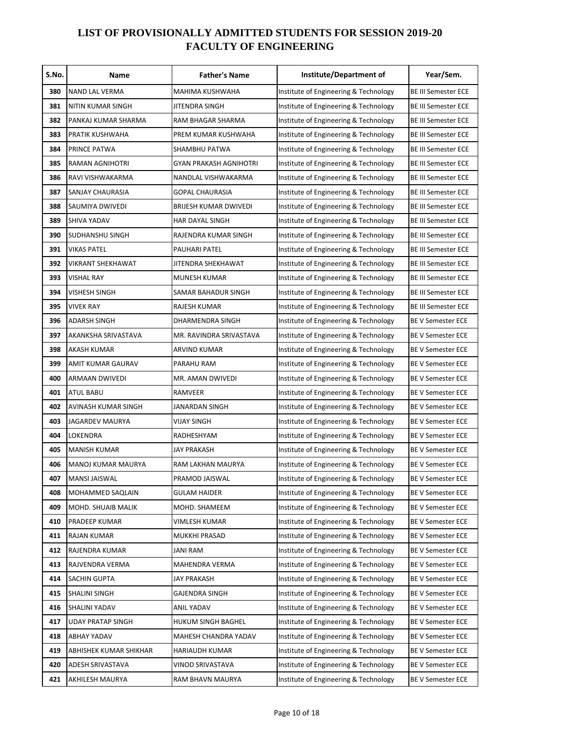| S.No. | Name                   | <b>Father's Name</b>          | Institute/Department of               | Year/Sem.                  |
|-------|------------------------|-------------------------------|---------------------------------------|----------------------------|
| 380   | NAND LAL VERMA         | MAHIMA KUSHWAHA               | Institute of Engineering & Technology | <b>BE III Semester ECE</b> |
| 381   | NITIN KUMAR SINGH      | JITENDRA SINGH                | Institute of Engineering & Technology | <b>BE III Semester ECE</b> |
| 382   | PANKAJ KUMAR SHARMA    | RAM BHAGAR SHARMA             | Institute of Engineering & Technology | <b>BE III Semester ECE</b> |
| 383   | PRATIK KUSHWAHA        | PREM KUMAR KUSHWAHA           | Institute of Engineering & Technology | <b>BE III Semester ECE</b> |
| 384   | PRINCE PATWA           | SHAMBHU PATWA                 | Institute of Engineering & Technology | <b>BE III Semester ECE</b> |
| 385   | RAMAN AGNIHOTRI        | <b>GYAN PRAKASH AGNIHOTRI</b> | Institute of Engineering & Technology | <b>BE III Semester ECE</b> |
| 386   | RAVI VISHWAKARMA       | NANDLAL VISHWAKARMA           | Institute of Engineering & Technology | <b>BE III Semester ECE</b> |
| 387   | SANJAY CHAURASIA       | <b>GOPAL CHAURASIA</b>        | Institute of Engineering & Technology | <b>BE III Semester ECE</b> |
| 388   | SAUMIYA DWIVEDI        | <b>BRIJESH KUMAR DWIVEDI</b>  | Institute of Engineering & Technology | <b>BE III Semester ECE</b> |
| 389   | SHIVA YADAV            | <b>HAR DAYAL SINGH</b>        | Institute of Engineering & Technology | <b>BE III Semester ECE</b> |
| 390   | <b>SUDHANSHU SINGH</b> | RAJENDRA KUMAR SINGH          | Institute of Engineering & Technology | <b>BE III Semester ECE</b> |
| 391   | <b>VIKAS PATEL</b>     | PAUHARI PATEL                 | Institute of Engineering & Technology | <b>BE III Semester ECE</b> |
| 392   | VIKRANT SHEKHAWAT      | JITENDRA SHEKHAWAT            | Institute of Engineering & Technology | <b>BE III Semester ECE</b> |
| 393   | <b>VISHAL RAY</b>      | <b>MUNESH KUMAR</b>           | Institute of Engineering & Technology | <b>BE III Semester ECE</b> |
| 394   | VISHESH SINGH          | SAMAR BAHADUR SINGH           | Institute of Engineering & Technology | <b>BE III Semester ECE</b> |
| 395   | <b>VIVEK RAY</b>       | <b>RAJESH KUMAR</b>           | Institute of Engineering & Technology | <b>BE III Semester ECE</b> |
| 396   | <b>ADARSH SINGH</b>    | DHARMENDRA SINGH              | Institute of Engineering & Technology | <b>BE V Semester ECE</b>   |
| 397   | AKANKSHA SRIVASTAVA    | MR. RAVINDRA SRIVASTAVA       | Institute of Engineering & Technology | <b>BE V Semester ECE</b>   |
| 398   | <b>AKASH KUMAR</b>     | <b>ARVIND KUMAR</b>           | Institute of Engineering & Technology | <b>BE V Semester ECE</b>   |
| 399   | AMIT KUMAR GAURAV      | PARAHU RAM                    | Institute of Engineering & Technology | <b>BE V Semester ECE</b>   |
| 400   | ARMAAN DWIVEDI         | MR. AMAN DWIVEDI              | Institute of Engineering & Technology | <b>BE V Semester ECE</b>   |
| 401   | <b>ATUL BABU</b>       | RAMVEER                       | Institute of Engineering & Technology | <b>BE V Semester ECE</b>   |
| 402   | AVINASH KUMAR SINGH    | <b>JANARDAN SINGH</b>         | Institute of Engineering & Technology | <b>BE V Semester ECE</b>   |
| 403   | JAGARDEV MAURYA        | <b>VIJAY SINGH</b>            | Institute of Engineering & Technology | <b>BE V Semester ECE</b>   |
| 404   | LOKENDRA               | RADHESHYAM                    | Institute of Engineering & Technology | <b>BE V Semester ECE</b>   |
| 405   | <b>MANISH KUMAR</b>    | JAY PRAKASH                   | Institute of Engineering & Technology | <b>BE V Semester ECE</b>   |
| 406   | MANOJ KUMAR MAURYA     | RAM LAKHAN MAURYA             | Institute of Engineering & Technology | BE V Semester ECE          |
| 407   | <b>MANSI JAISWAL</b>   | PRAMOD JAISWAL                | Institute of Engineering & Technology | <b>BE V Semester ECE</b>   |
| 408   | MOHAMMED SAQLAIN       | <b>GULAM HAIDER</b>           | Institute of Engineering & Technology | <b>BE V Semester ECE</b>   |
| 409   | MOHD. SHUAIB MALIK     | MOHD. SHAMEEM                 | Institute of Engineering & Technology | <b>BE V Semester ECE</b>   |
| 410   | PRADEEP KUMAR          | <b>VIMLESH KUMAR</b>          | Institute of Engineering & Technology | <b>BE V Semester ECE</b>   |
| 411   | RAJAN KUMAR            | MUKKHI PRASAD                 | Institute of Engineering & Technology | <b>BE V Semester ECE</b>   |
| 412   | RAJENDRA KUMAR         | JANI RAM                      | Institute of Engineering & Technology | <b>BE V Semester ECE</b>   |
| 413   | RAJVENDRA VERMA        | MAHENDRA VERMA                | Institute of Engineering & Technology | <b>BE V Semester ECE</b>   |
| 414   | SACHIN GUPTA           | <b>JAY PRAKASH</b>            | Institute of Engineering & Technology | <b>BE V Semester ECE</b>   |
| 415   | <b>SHALINI SINGH</b>   | <b>GAJENDRA SINGH</b>         | Institute of Engineering & Technology | <b>BE V Semester ECE</b>   |
| 416   | SHALINI YADAV          | ANIL YADAV                    | Institute of Engineering & Technology | <b>BE V Semester ECE</b>   |
| 417   | UDAY PRATAP SINGH      | HUKUM SINGH BAGHEL            | Institute of Engineering & Technology | <b>BE V Semester ECE</b>   |
| 418   | ABHAY YADAV            | MAHESH CHANDRA YADAV          | Institute of Engineering & Technology | <b>BE V Semester ECE</b>   |
| 419   | ABHISHEK KUMAR SHIKHAR | HARIAUDH KUMAR                | Institute of Engineering & Technology | <b>BE V Semester ECE</b>   |
| 420   | ADESH SRIVASTAVA       | VINOD SRIVASTAVA              | Institute of Engineering & Technology | <b>BE V Semester ECE</b>   |
| 421   | AKHILESH MAURYA        | RAM BHAVN MAURYA              | Institute of Engineering & Technology | BE V Semester ECE          |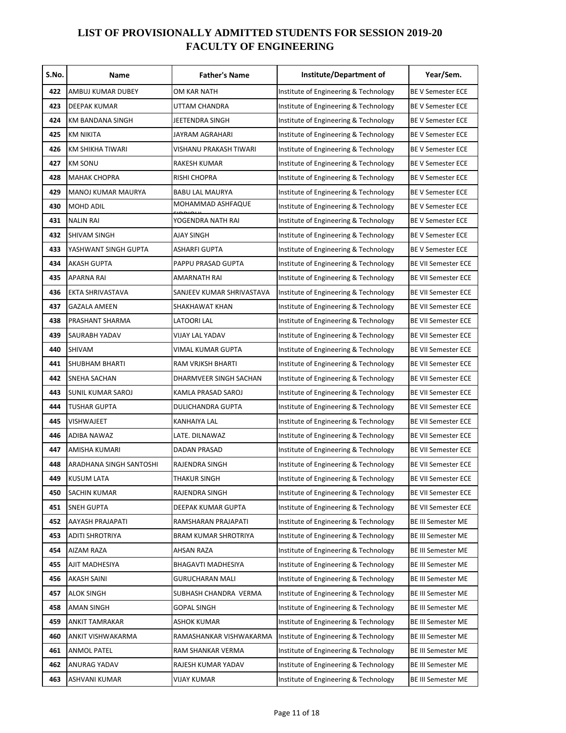| S.No. | Name                    | <b>Father's Name</b>      | Institute/Department of               | Year/Sem.                  |
|-------|-------------------------|---------------------------|---------------------------------------|----------------------------|
| 422   | AMBUJ KUMAR DUBEY       | OM KAR NATH               | Institute of Engineering & Technology | <b>BE V Semester ECE</b>   |
| 423   | <b>DEEPAK KUMAR</b>     | UTTAM CHANDRA             | Institute of Engineering & Technology | <b>BE V Semester ECE</b>   |
| 424   | KM BANDANA SINGH        | JEETENDRA SINGH           | Institute of Engineering & Technology | <b>BE V Semester ECE</b>   |
| 425   | <b>KM NIKITA</b>        | JAYRAM AGRAHARI           | Institute of Engineering & Technology | <b>BE V Semester ECE</b>   |
| 426   | KM SHIKHA TIWARI        | VISHANU PRAKASH TIWARI    | Institute of Engineering & Technology | <b>BE V Semester ECE</b>   |
| 427   | <b>KM SONU</b>          | RAKESH KUMAR              | Institute of Engineering & Technology | <b>BE V Semester ECE</b>   |
| 428   | <b>MAHAK CHOPRA</b>     | RISHI CHOPRA              | Institute of Engineering & Technology | <b>BE V Semester ECE</b>   |
| 429   | MANOJ KUMAR MAURYA      | <b>BABU LAL MAURYA</b>    | Institute of Engineering & Technology | <b>BE V Semester ECE</b>   |
| 430   | MOHD ADIL               | MOHAMMAD ASHFAQUE         | Institute of Engineering & Technology | <b>BE V Semester ECE</b>   |
| 431   | <b>NALIN RAI</b>        | YOGENDRA NATH RAI         | Institute of Engineering & Technology | <b>BE V Semester ECE</b>   |
| 432   | <b>SHIVAM SINGH</b>     | AJAY SINGH                | Institute of Engineering & Technology | <b>BE V Semester ECE</b>   |
| 433   | YASHWANT SINGH GUPTA    | ASHARFI GUPTA             | Institute of Engineering & Technology | <b>BE V Semester ECE</b>   |
| 434   | AKASH GUPTA             | PAPPU PRASAD GUPTA        | Institute of Engineering & Technology | <b>BE VII Semester ECE</b> |
| 435   | <b>APARNA RAI</b>       | AMARNATH RAI              | Institute of Engineering & Technology | <b>BE VII Semester ECE</b> |
| 436   | EKTA SHRIVASTAVA        | SANJEEV KUMAR SHRIVASTAVA | Institute of Engineering & Technology | <b>BE VII Semester ECE</b> |
| 437   | <b>GAZALA AMEEN</b>     | SHAKHAWAT KHAN            | Institute of Engineering & Technology | <b>BE VII Semester ECE</b> |
| 438   | PRASHANT SHARMA         | LATOORI LAL               | Institute of Engineering & Technology | <b>BE VII Semester ECE</b> |
| 439   | <b>SAURABH YADAV</b>    | VIJAY LAL YADAV           | Institute of Engineering & Technology | <b>BE VII Semester ECE</b> |
| 440   | SHIVAM                  | VIMAL KUMAR GUPTA         | Institute of Engineering & Technology | <b>BE VII Semester ECE</b> |
| 441   | SHUBHAM BHARTI          | RAM VRJKSH BHARTI         | Institute of Engineering & Technology | <b>BE VII Semester ECE</b> |
| 442   | <b>SNEHA SACHAN</b>     | DHARMVEER SINGH SACHAN    | Institute of Engineering & Technology | <b>BE VII Semester ECE</b> |
| 443   | SUNIL KUMAR SAROJ       | KAMLA PRASAD SAROJ        | Institute of Engineering & Technology | <b>BE VII Semester ECE</b> |
| 444   | <b>TUSHAR GUPTA</b>     | <b>DULICHANDRA GUPTA</b>  | Institute of Engineering & Technology | <b>BE VII Semester ECE</b> |
| 445   | VISHWAJEET              | KANHAIYA LAL              | Institute of Engineering & Technology | <b>BE VII Semester ECE</b> |
| 446   | ADIBA NAWAZ             | LATE. DILNAWAZ            | Institute of Engineering & Technology | <b>BE VII Semester ECE</b> |
| 447   | AMISHA KUMARI           | <b>DADAN PRASAD</b>       | Institute of Engineering & Technology | <b>BE VII Semester ECE</b> |
| 448   | ARADHANA SINGH SANTOSHI | RAJENDRA SINGH            | Institute of Engineering & Technology | BE VII Semester ECE        |
| 449   | <b>KUSUM LATA</b>       | <b>THAKUR SINGH</b>       | Institute of Engineering & Technology | BE VII Semester ECE        |
| 450   | SACHIN KUMAR            | RAJENDRA SINGH            | Institute of Engineering & Technology | <b>BE VII Semester ECE</b> |
| 451   | <b>SNEH GUPTA</b>       | DEEPAK KUMAR GUPTA        | Institute of Engineering & Technology | <b>BE VII Semester ECE</b> |
| 452   | AAYASH PRAJAPATI        | RAMSHARAN PRAJAPATI       | Institute of Engineering & Technology | BE III Semester ME         |
| 453   | <b>ADITI SHROTRIYA</b>  | BRAM KUMAR SHROTRIYA      | Institute of Engineering & Technology | <b>BE III Semester ME</b>  |
| 454   | AIZAM RAZA              | AHSAN RAZA                | Institute of Engineering & Technology | <b>BE III Semester ME</b>  |
| 455   | AJIT MADHESIYA          | BHAGAVTI MADHESIYA        | Institute of Engineering & Technology | <b>BE III Semester ME</b>  |
| 456   | <b>AKASH SAINI</b>      | <b>GURUCHARAN MALI</b>    | Institute of Engineering & Technology | <b>BE III Semester ME</b>  |
| 457   | <b>ALOK SINGH</b>       | SUBHASH CHANDRA VERMA     | Institute of Engineering & Technology | <b>BE III Semester ME</b>  |
| 458   | AMAN SINGH              | GOPAL SINGH               | Institute of Engineering & Technology | <b>BE III Semester ME</b>  |
| 459   | ANKIT TAMRAKAR          | ASHOK KUMAR               | Institute of Engineering & Technology | <b>BE III Semester ME</b>  |
| 460   | ANKIT VISHWAKARMA       | RAMASHANKAR VISHWAKARMA   | Institute of Engineering & Technology | <b>BE III Semester ME</b>  |
| 461   | <b>ANMOL PATEL</b>      | RAM SHANKAR VERMA         | Institute of Engineering & Technology | BE III Semester ME         |
| 462   | ANURAG YADAV            | RAJESH KUMAR YADAV        | Institute of Engineering & Technology | <b>BE III Semester ME</b>  |
| 463   | ASHVANI KUMAR           | VIJAY KUMAR               | Institute of Engineering & Technology | BE III Semester ME         |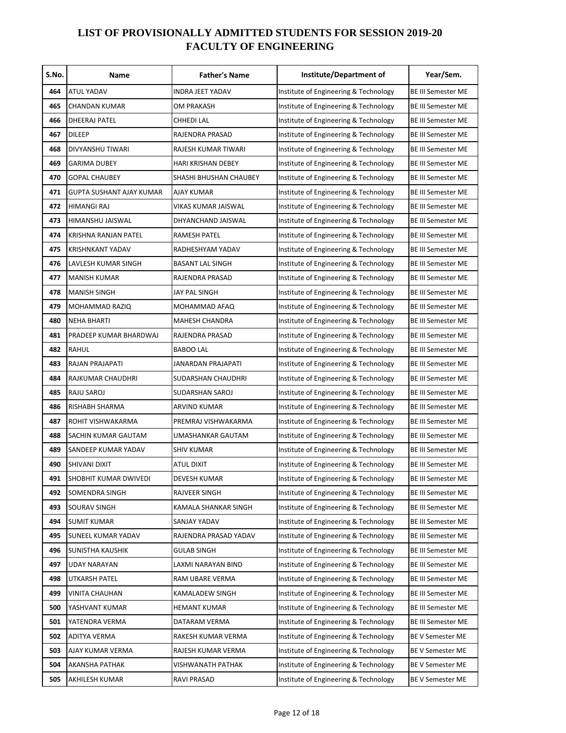| S.No. | Name                       | <b>Father's Name</b>    | Institute/Department of               | Year/Sem.                 |
|-------|----------------------------|-------------------------|---------------------------------------|---------------------------|
| 464   | ATUL YADAV                 | INDRA JEET YADAV        | Institute of Engineering & Technology | <b>BE III Semester ME</b> |
| 465   | <b>CHANDAN KUMAR</b>       | OM PRAKASH              | Institute of Engineering & Technology | <b>BE III Semester ME</b> |
| 466   | DHEERAJ PATEL              | CHHEDI LAL              | Institute of Engineering & Technology | <b>BE III Semester ME</b> |
| 467   | <b>DILEEP</b>              | RAJENDRA PRASAD         | Institute of Engineering & Technology | <b>BE III Semester ME</b> |
| 468   | DIVYANSHU TIWARI           | RAJESH KUMAR TIWARI     | Institute of Engineering & Technology | <b>BE III Semester ME</b> |
| 469   | <b>GARIMA DUBEY</b>        | HARI KRISHAN DEBEY      | Institute of Engineering & Technology | <b>BE III Semester ME</b> |
| 470   | <b>GOPAL CHAUBEY</b>       | SHASHI BHUSHAN CHAUBEY  | Institute of Engineering & Technology | <b>BE III Semester ME</b> |
| 471   | GUPTA SUSHANT AJAY KUMAR   | <b>AJAY KUMAR</b>       | Institute of Engineering & Technology | <b>BE III Semester ME</b> |
| 472   | <b>HIMANGI RAJ</b>         | VIKAS KUMAR JAISWAL     | Institute of Engineering & Technology | <b>BE III Semester ME</b> |
| 473   | HIMANSHU JAISWAL           | DHYANCHAND JAISWAL      | Institute of Engineering & Technology | <b>BE III Semester ME</b> |
| 474   | KRISHNA RANJAN PATEL       | <b>RAMESH PATEL</b>     | Institute of Engineering & Technology | <b>BE III Semester ME</b> |
| 475   | <b>KRISHNKANT YADAV</b>    | RADHESHYAM YADAV        | Institute of Engineering & Technology | <b>BE III Semester ME</b> |
| 476   | LAVLESH KUMAR SINGH        | <b>BASANT LAL SINGH</b> | Institute of Engineering & Technology | BE III Semester ME        |
| 477   | <b>MANISH KUMAR</b>        | RAJENDRA PRASAD         | Institute of Engineering & Technology | <b>BE III Semester ME</b> |
| 478   | <b>MANISH SINGH</b>        | JAY PAL SINGH           | Institute of Engineering & Technology | <b>BE III Semester ME</b> |
| 479   | MOHAMMAD RAZIQ             | MOHAMMAD AFAQ           | Institute of Engineering & Technology | <b>BE III Semester ME</b> |
| 480   | <b>NEHA BHARTI</b>         | <b>MAHESH CHANDRA</b>   | Institute of Engineering & Technology | <b>BE III Semester ME</b> |
| 481   | PRADEEP KUMAR BHARDWAJ     | RAJENDRA PRASAD         | Institute of Engineering & Technology | <b>BE III Semester ME</b> |
| 482   | RAHUL                      | <b>BABOO LAL</b>        | Institute of Engineering & Technology | <b>BE III Semester ME</b> |
| 483   | RAJAN PRAJAPATI            | JANARDAN PRAJAPATI      | Institute of Engineering & Technology | BE III Semester ME        |
| 484   | RAJKUMAR CHAUDHRI          | SUDARSHAN CHAUDHRI      | Institute of Engineering & Technology | <b>BE III Semester ME</b> |
| 485   | RAJU SAROJ                 | SUDARSHAN SAROJ         | Institute of Engineering & Technology | BE III Semester ME        |
| 486   | RISHABH SHARMA             | <b>ARVIND KUMAR</b>     | Institute of Engineering & Technology | <b>BE III Semester ME</b> |
| 487   | ROHIT VISHWAKARMA          | PREMRAJ VISHWAKARMA     | Institute of Engineering & Technology | <b>BE III Semester ME</b> |
| 488   | SACHIN KUMAR GAUTAM        | UMASHANKAR GAUTAM       | Institute of Engineering & Technology | <b>BE III Semester ME</b> |
| 489   | <b>SANDEEP KUMAR YADAV</b> | <b>SHIV KUMAR</b>       | Institute of Engineering & Technology | <b>BE III Semester ME</b> |
| 490   | SHIVANI DIXIT              | <b>ATUL DIXIT</b>       | Institute of Engineering & Technology | <b>BE III Semester ME</b> |
| 491   | SHOBHIT KUMAR DWIVEDI      | <b>DEVESH KUMAR</b>     | Institute of Engineering & Technology | <b>BE III Semester ME</b> |
| 492   | SOMENDRA SINGH             | RAJVEER SINGH           | Institute of Engineering & Technology | BE III Semester ME        |
| 493   | <b>SOURAV SINGH</b>        | KAMALA SHANKAR SINGH    | Institute of Engineering & Technology | <b>BE III Semester ME</b> |
| 494   | <b>SUMIT KUMAR</b>         | SANJAY YADAV            | Institute of Engineering & Technology | BE III Semester ME        |
| 495   | SUNEEL KUMAR YADAV         | RAJENDRA PRASAD YADAV   | Institute of Engineering & Technology | <b>BE III Semester ME</b> |
| 496   | <b>SUNISTHA KAUSHIK</b>    | <b>GULAB SINGH</b>      | Institute of Engineering & Technology | <b>BE III Semester ME</b> |
| 497   | UDAY NARAYAN               | LAXMI NARAYAN BIND      | Institute of Engineering & Technology | BE III Semester ME        |
| 498   | UTKARSH PATEL              | RAM UBARE VERMA         | Institute of Engineering & Technology | <b>BE III Semester ME</b> |
| 499   | <b>VINITA CHAUHAN</b>      | KAMALADEW SINGH         | Institute of Engineering & Technology | <b>BE III Semester ME</b> |
| 500   | YASHVANT KUMAR             | <b>HEMANT KUMAR</b>     | Institute of Engineering & Technology | BE III Semester ME        |
| 501   | YATENDRA VERMA             | DATARAM VERMA           | Institute of Engineering & Technology | <b>BE III Semester ME</b> |
| 502   | ADITYA VERMA               | RAKESH KUMAR VERMA      | Institute of Engineering & Technology | BE V Semester ME          |
| 503   | AJAY KUMAR VERMA           | RAJESH KUMAR VERMA      | Institute of Engineering & Technology | BE V Semester ME          |
| 504   | AKANSHA PATHAK             | VISHWANATH PATHAK       | Institute of Engineering & Technology | BE V Semester ME          |
| 505   | AKHILESH KUMAR             | RAVI PRASAD             | Institute of Engineering & Technology | BE V Semester ME          |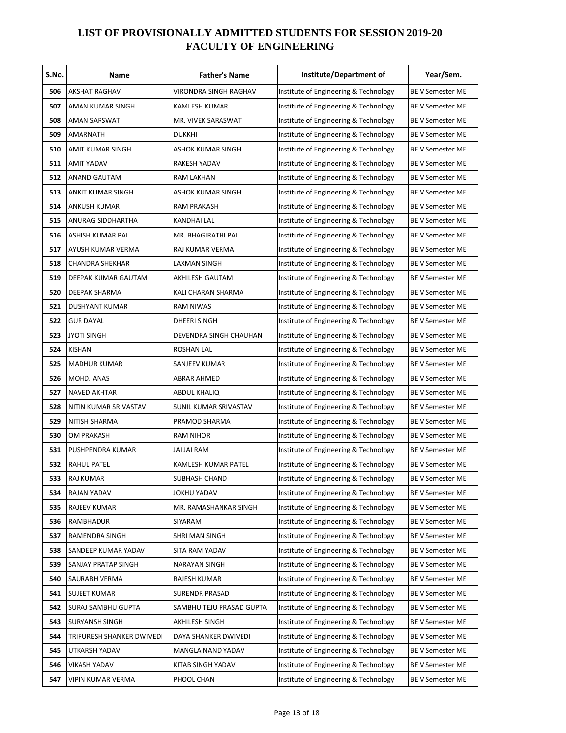| S.No. | Name                      | <b>Father's Name</b>     | Institute/Department of               | Year/Sem.               |
|-------|---------------------------|--------------------------|---------------------------------------|-------------------------|
| 506   | AKSHAT RAGHAV             | VIRONDRA SINGH RAGHAV    | Institute of Engineering & Technology | <b>BE V Semester ME</b> |
| 507   | AMAN KUMAR SINGH          | <b>KAMLESH KUMAR</b>     | Institute of Engineering & Technology | <b>BE V Semester ME</b> |
| 508   | AMAN SARSWAT              | MR. VIVEK SARASWAT       | Institute of Engineering & Technology | <b>BE V Semester ME</b> |
| 509   | <b>AMARNATH</b>           | <b>DUKKHI</b>            | Institute of Engineering & Technology | <b>BE V Semester ME</b> |
| 510   | AMIT KUMAR SINGH          | ASHOK KUMAR SINGH        | Institute of Engineering & Technology | <b>BE V Semester ME</b> |
| 511   | <b>AMIT YADAV</b>         | RAKESH YADAV             | Institute of Engineering & Technology | <b>BE V Semester ME</b> |
| 512   | <b>ANAND GAUTAM</b>       | <b>RAM LAKHAN</b>        | Institute of Engineering & Technology | <b>BE V Semester ME</b> |
| 513   | ANKIT KUMAR SINGH         | ASHOK KUMAR SINGH        | Institute of Engineering & Technology | <b>BE V Semester ME</b> |
| 514   | ANKUSH KUMAR              | <b>RAM PRAKASH</b>       | Institute of Engineering & Technology | <b>BE V Semester ME</b> |
| 515   | ANURAG SIDDHARTHA         | <b>KANDHAI LAL</b>       | Institute of Engineering & Technology | <b>BE V Semester ME</b> |
| 516   | ASHISH KUMAR PAL          | MR. BHAGIRATHI PAL       | Institute of Engineering & Technology | <b>BE V Semester ME</b> |
| 517   | AYUSH KUMAR VERMA         | RAJ KUMAR VERMA          | Institute of Engineering & Technology | <b>BE V Semester ME</b> |
| 518   | <b>CHANDRA SHEKHAR</b>    | LAXMAN SINGH             | Institute of Engineering & Technology | <b>BE V Semester ME</b> |
| 519   | DEEPAK KUMAR GAUTAM       | AKHILESH GAUTAM          | Institute of Engineering & Technology | <b>BE V Semester ME</b> |
| 520   | DEEPAK SHARMA             | KALI CHARAN SHARMA       | Institute of Engineering & Technology | <b>BE V Semester ME</b> |
| 521   | <b>DUSHYANT KUMAR</b>     | <b>RAM NIWAS</b>         | Institute of Engineering & Technology | <b>BE V Semester ME</b> |
| 522   | <b>GUR DAYAL</b>          | <b>DHEERI SINGH</b>      | Institute of Engineering & Technology | <b>BE V Semester ME</b> |
| 523   | <b>JYOTI SINGH</b>        | DEVENDRA SINGH CHAUHAN   | Institute of Engineering & Technology | <b>BE V Semester ME</b> |
| 524   | <b>KISHAN</b>             | <b>ROSHAN LAL</b>        | Institute of Engineering & Technology | <b>BE V Semester ME</b> |
| 525   | <b>MADHUR KUMAR</b>       | SANJEEV KUMAR            | Institute of Engineering & Technology | <b>BE V Semester ME</b> |
| 526   | MOHD. ANAS                | ABRAR AHMED              | Institute of Engineering & Technology | <b>BE V Semester ME</b> |
| 527   | NAVED AKHTAR              | ABDUL KHALIQ             | Institute of Engineering & Technology | <b>BE V Semester ME</b> |
| 528   | NITIN KUMAR SRIVASTAV     | SUNIL KUMAR SRIVASTAV    | Institute of Engineering & Technology | <b>BE V Semester ME</b> |
| 529   | NITISH SHARMA             | PRAMOD SHARMA            | Institute of Engineering & Technology | BE V Semester ME        |
| 530   | OM PRAKASH                | <b>RAM NIHOR</b>         | Institute of Engineering & Technology | <b>BE V Semester ME</b> |
| 531   | PUSHPENDRA KUMAR          | JAI JAI RAM              | Institute of Engineering & Technology | <b>BE V Semester ME</b> |
| 532   | <b>RAHUL PATEL</b>        | KAMLESH KUMAR PATEL      | Institute of Engineering & Technology | <b>BE V Semester ME</b> |
| 533   | <b>RAJ KUMAR</b>          | SUBHASH CHAND            | Institute of Engineering & Technology | <b>BE V Semester ME</b> |
| 534   | RAJAN YADAV               | <b>JOKHU YADAV</b>       | Institute of Engineering & Technology | BE V Semester ME        |
| 535   | RAJEEV KUMAR              | MR. RAMASHANKAR SINGH    | Institute of Engineering & Technology | <b>BE V Semester ME</b> |
| 536   | RAMBHADUR                 | SIYARAM                  | Institute of Engineering & Technology | <b>BE V Semester ME</b> |
| 537   | RAMENDRA SINGH            | SHRI MAN SINGH           | Institute of Engineering & Technology | BE V Semester ME        |
| 538   | SANDEEP KUMAR YADAV       | SITA RAM YADAV           | Institute of Engineering & Technology | <b>BE V Semester ME</b> |
| 539   | SANJAY PRATAP SINGH       | NARAYAN SINGH            | Institute of Engineering & Technology | BE V Semester ME        |
| 540   | SAURABH VERMA             | RAJESH KUMAR             | Institute of Engineering & Technology | <b>BE V Semester ME</b> |
| 541   | <b>SUJEET KUMAR</b>       | <b>SURENDR PRASAD</b>    | Institute of Engineering & Technology | BE V Semester ME        |
| 542   | SURAJ SAMBHU GUPTA        | SAMBHU TEJU PRASAD GUPTA | Institute of Engineering & Technology | BE V Semester ME        |
| 543   | <b>SURYANSH SINGH</b>     | AKHILESH SINGH           | Institute of Engineering & Technology | BE V Semester ME        |
| 544   | TRIPURESH SHANKER DWIVEDI | DAYA SHANKER DWIVEDI     | Institute of Engineering & Technology | BE V Semester ME        |
| 545   | UTKARSH YADAV             | MANGLA NAND YADAV        | Institute of Engineering & Technology | BE V Semester ME        |
| 546   | VIKASH YADAV              | KITAB SINGH YADAV        | Institute of Engineering & Technology | BE V Semester ME        |
| 547   | VIPIN KUMAR VERMA         | PHOOL CHAN               | Institute of Engineering & Technology | BE V Semester ME        |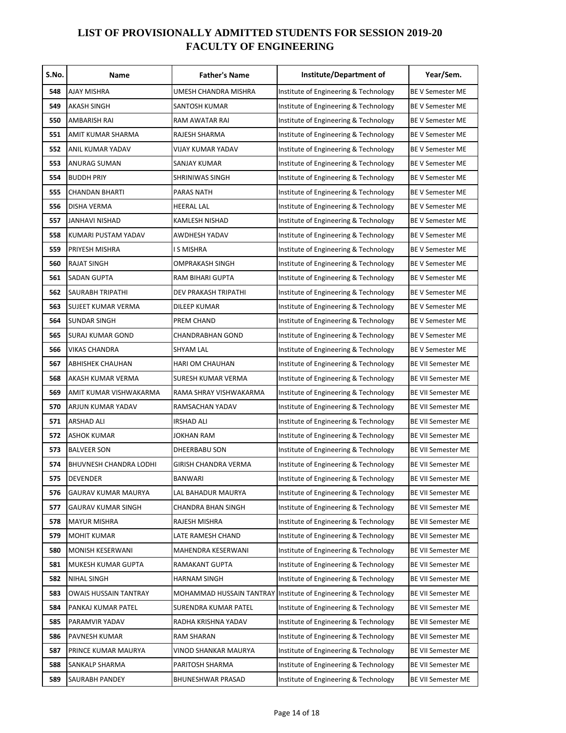| S.No. | Name                          | <b>Father's Name</b>        | Institute/Department of               | Year/Sem.                 |
|-------|-------------------------------|-----------------------------|---------------------------------------|---------------------------|
| 548   | AJAY MISHRA                   | UMESH CHANDRA MISHRA        | Institute of Engineering & Technology | <b>BE V Semester ME</b>   |
| 549   | AKASH SINGH                   | SANTOSH KUMAR               | Institute of Engineering & Technology | <b>BE V Semester ME</b>   |
| 550   | AMBARISH RAI                  | RAM AWATAR RAI              | Institute of Engineering & Technology | <b>BE V Semester ME</b>   |
| 551   | AMIT KUMAR SHARMA             | RAJESH SHARMA               | Institute of Engineering & Technology | <b>BE V Semester ME</b>   |
| 552   | ANIL KUMAR YADAV              | VIJAY KUMAR YADAV           | Institute of Engineering & Technology | <b>BE V Semester ME</b>   |
| 553   | ANURAG SUMAN                  | SANJAY KUMAR                | Institute of Engineering & Technology | <b>BE V Semester ME</b>   |
| 554   | <b>BUDDH PRIY</b>             | SHRINIWAS SINGH             | Institute of Engineering & Technology | <b>BE V Semester ME</b>   |
| 555   | <b>CHANDAN BHARTI</b>         | PARAS NATH                  | Institute of Engineering & Technology | <b>BE V Semester ME</b>   |
| 556   | DISHA VERMA                   | <b>HEERAL LAL</b>           | Institute of Engineering & Technology | <b>BE V Semester ME</b>   |
| 557   | <b>JANHAVI NISHAD</b>         | <b>KAMLESH NISHAD</b>       | Institute of Engineering & Technology | <b>BE V Semester ME</b>   |
| 558   | KUMARI PUSTAM YADAV           | AWDHESH YADAV               | Institute of Engineering & Technology | <b>BE V Semester ME</b>   |
| 559   | PRIYESH MISHRA                | I S MISHRA                  | Institute of Engineering & Technology | <b>BE V Semester ME</b>   |
| 560   | <b>RAJAT SINGH</b>            | <b>OMPRAKASH SINGH</b>      | Institute of Engineering & Technology | <b>BE V Semester ME</b>   |
| 561   | <b>SADAN GUPTA</b>            | <b>RAM BIHARI GUPTA</b>     | Institute of Engineering & Technology | <b>BE V Semester ME</b>   |
| 562   | <b>SAURABH TRIPATHI</b>       | DEV PRAKASH TRIPATHI        | Institute of Engineering & Technology | <b>BE V Semester ME</b>   |
| 563   | <b>SUJEET KUMAR VERMA</b>     | <b>DILEEP KUMAR</b>         | Institute of Engineering & Technology | <b>BE V Semester ME</b>   |
| 564   | <b>SUNDAR SINGH</b>           | PREM CHAND                  | Institute of Engineering & Technology | <b>BE V Semester ME</b>   |
| 565   | SURAJ KUMAR GOND              | CHANDRABHAN GOND            | Institute of Engineering & Technology | <b>BE V Semester ME</b>   |
| 566   | <b>VIKAS CHANDRA</b>          | <b>SHYAM LAL</b>            | Institute of Engineering & Technology | <b>BE V Semester ME</b>   |
| 567   | ABHISHEK CHAUHAN              | HARI OM CHAUHAN             | Institute of Engineering & Technology | <b>BE VII Semester ME</b> |
| 568   | AKASH KUMAR VERMA             | <b>SURESH KUMAR VERMA</b>   | Institute of Engineering & Technology | <b>BE VII Semester ME</b> |
| 569   | AMIT KUMAR VISHWAKARMA        | RAMA SHRAY VISHWAKARMA      | Institute of Engineering & Technology | BE VII Semester ME        |
| 570   | ARJUN KUMAR YADAV             | RAMSACHAN YADAV             | Institute of Engineering & Technology | <b>BE VII Semester ME</b> |
| 571   | <b>ARSHAD ALI</b>             | <b>IRSHAD ALI</b>           | Institute of Engineering & Technology | BE VII Semester ME        |
| 572   | ASHOK KUMAR                   | JOKHAN RAM                  | Institute of Engineering & Technology | <b>BE VII Semester ME</b> |
| 573   | <b>BALVEER SON</b>            | <b>DHEERBABU SON</b>        | Institute of Engineering & Technology | <b>BE VII Semester ME</b> |
| 574   | <b>BHUVNESH CHANDRA LODHI</b> | <b>GIRISH CHANDRA VERMA</b> | Institute of Engineering & Technology | BE VII Semester ME        |
| 575   | <b>DEVENDER</b>               | <b>BANWARI</b>              | Institute of Engineering & Technology | <b>BE VII Semester ME</b> |
| 576   | GAURAV KUMAR MAURYA           | LAL BAHADUR MAURYA          | Institute of Engineering & Technology | <b>BE VII Semester ME</b> |
| 577   | GAURAV KUMAR SINGH            | CHANDRA BHAN SINGH          | Institute of Engineering & Technology | BE VII Semester ME        |
| 578   | MAYUR MISHRA                  | RAJESH MISHRA               | Institute of Engineering & Technology | BE VII Semester ME        |
| 579   | <b>MOHIT KUMAR</b>            | LATE RAMESH CHAND           | Institute of Engineering & Technology | <b>BE VII Semester ME</b> |
| 580   | MONISH KESERWANI              | MAHENDRA KESERWANI          | Institute of Engineering & Technology | BE VII Semester ME        |
| 581   | MUKESH KUMAR GUPTA            | RAMAKANT GUPTA              | Institute of Engineering & Technology | BE VII Semester ME        |
| 582   | NIHAL SINGH                   | <b>HARNAM SINGH</b>         | Institute of Engineering & Technology | <b>BE VII Semester ME</b> |
| 583   | OWAIS HUSSAIN TANTRAY         | MOHAMMAD HUSSAIN TANTRAY    | Institute of Engineering & Technology | BE VII Semester ME        |
| 584   | PANKAJ KUMAR PATEL            | SURENDRA KUMAR PATEL        | Institute of Engineering & Technology | BE VII Semester ME        |
| 585   | PARAMVIR YADAV                | RADHA KRISHNA YADAV         | Institute of Engineering & Technology | BE VII Semester ME        |
| 586   | PAVNESH KUMAR                 | <b>RAM SHARAN</b>           | Institute of Engineering & Technology | BE VII Semester ME        |
| 587   | PRINCE KUMAR MAURYA           | VINOD SHANKAR MAURYA        | Institute of Engineering & Technology | BE VII Semester ME        |
| 588   | SANKALP SHARMA                | PARITOSH SHARMA             | Institute of Engineering & Technology | BE VII Semester ME        |
| 589   | SAURABH PANDEY                | <b>BHUNESHWAR PRASAD</b>    | Institute of Engineering & Technology | BE VII Semester ME        |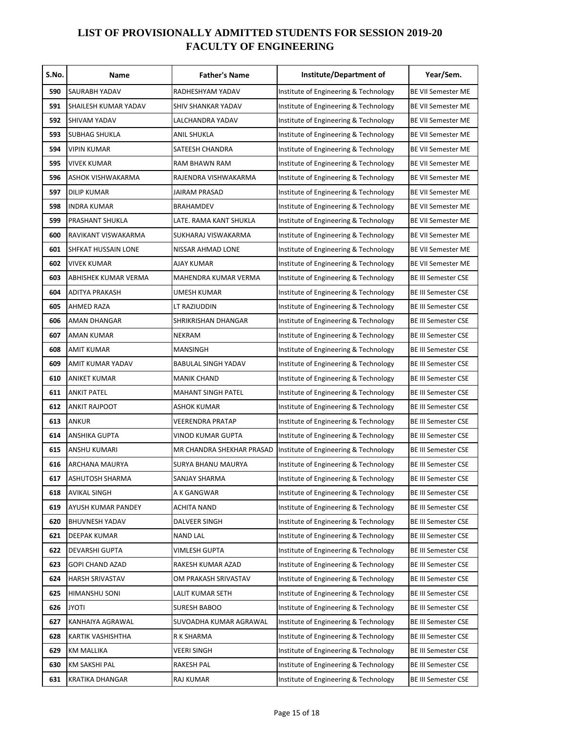| S.No. | Name                   | <b>Father's Name</b>       | Institute/Department of               | Year/Sem.                  |
|-------|------------------------|----------------------------|---------------------------------------|----------------------------|
| 590   | SAURABH YADAV          | RADHESHYAM YADAV           | Institute of Engineering & Technology | <b>BE VII Semester ME</b>  |
| 591   | SHAILESH KUMAR YADAV   | SHIV SHANKAR YADAV         | Institute of Engineering & Technology | <b>BE VII Semester ME</b>  |
| 592   | SHIVAM YADAV           | LALCHANDRA YADAV           | Institute of Engineering & Technology | <b>BE VII Semester ME</b>  |
| 593   | SUBHAG SHUKLA          | <b>ANIL SHUKLA</b>         | Institute of Engineering & Technology | <b>BE VII Semester ME</b>  |
| 594   | <b>VIPIN KUMAR</b>     | SATEESH CHANDRA            | Institute of Engineering & Technology | <b>BE VII Semester ME</b>  |
| 595   | VIVEK KUMAR            | RAM BHAWN RAM              | Institute of Engineering & Technology | BE VII Semester ME         |
| 596   | ASHOK VISHWAKARMA      | RAJENDRA VISHWAKARMA       | Institute of Engineering & Technology | <b>BE VII Semester ME</b>  |
| 597   | <b>DILIP KUMAR</b>     | JAIRAM PRASAD              | Institute of Engineering & Technology | <b>BE VII Semester ME</b>  |
| 598   | <b>INDRA KUMAR</b>     | <b>BRAHAMDEV</b>           | Institute of Engineering & Technology | <b>BE VII Semester ME</b>  |
| 599   | PRASHANT SHUKLA        | LATE. RAMA KANT SHUKLA     | Institute of Engineering & Technology | <b>BE VII Semester ME</b>  |
| 600   | RAVIKANT VISWAKARMA    | SUKHARAJ VISWAKARMA        | Institute of Engineering & Technology | <b>BE VII Semester ME</b>  |
| 601   | SHFKAT HUSSAIN LONE    | NISSAR AHMAD LONE          | Institute of Engineering & Technology | <b>BE VII Semester ME</b>  |
| 602   | <b>VIVEK KUMAR</b>     | AJAY KUMAR                 | Institute of Engineering & Technology | BE VII Semester ME         |
| 603   | ABHISHEK KUMAR VERMA   | MAHENDRA KUMAR VERMA       | Institute of Engineering & Technology | <b>BE III Semester CSE</b> |
| 604   | <b>ADITYA PRAKASH</b>  | UMESH KUMAR                | Institute of Engineering & Technology | <b>BE III Semester CSE</b> |
| 605   | <b>AHMED RAZA</b>      | LT RAZIUDDIN               | Institute of Engineering & Technology | <b>BE III Semester CSE</b> |
| 606   | AMAN DHANGAR           | SHRIKRISHAN DHANGAR        | Institute of Engineering & Technology | <b>BE III Semester CSE</b> |
| 607   | AMAN KUMAR             | <b>NEKRAM</b>              | Institute of Engineering & Technology | <b>BE III Semester CSE</b> |
| 608   | <b>AMIT KUMAR</b>      | MANSINGH                   | Institute of Engineering & Technology | <b>BE III Semester CSE</b> |
| 609   | AMIT KUMAR YADAV       | <b>BABULAL SINGH YADAV</b> | Institute of Engineering & Technology | <b>BE III Semester CSE</b> |
| 610   | <b>ANIKET KUMAR</b>    | <b>MANIK CHAND</b>         | Institute of Engineering & Technology | <b>BE III Semester CSE</b> |
| 611   | ANKIT PATEL            | MAHANT SINGH PATEL         | Institute of Engineering & Technology | <b>BE III Semester CSE</b> |
| 612   | <b>ANKIT RAJPOOT</b>   | <b>ASHOK KUMAR</b>         | Institute of Engineering & Technology | <b>BE III Semester CSE</b> |
| 613   | <b>ANKUR</b>           | VEERENDRA PRATAP           | Institute of Engineering & Technology | <b>BE III Semester CSE</b> |
| 614   | ANSHIKA GUPTA          | VINOD KUMAR GUPTA          | Institute of Engineering & Technology | <b>BE III Semester CSE</b> |
| 615   | ANSHU KUMARI           | MR CHANDRA SHEKHAR PRASAD  | Institute of Engineering & Technology | <b>BE III Semester CSE</b> |
| 616   | <b>ARCHANA MAURYA</b>  | SURYA BHANU MAURYA         | Institute of Engineering & Technology | <b>BE III Semester CSE</b> |
| 617   | <b>ASHUTOSH SHARMA</b> | SANJAY SHARMA              | Institute of Engineering & Technology | <b>BE III Semester CSE</b> |
| 618   | AVIKAL SINGH           | A K GANGWAR                | Institute of Engineering & Technology | <b>BE III Semester CSE</b> |
| 619   | AYUSH KUMAR PANDEY     | ACHITA NAND                | Institute of Engineering & Technology | <b>BE III Semester CSE</b> |
| 620   | <b>BHUVNESH YADAV</b>  | DALVEER SINGH              | Institute of Engineering & Technology | BE III Semester CSE        |
| 621   | <b>DEEPAK KUMAR</b>    | <b>NAND LAL</b>            | Institute of Engineering & Technology | <b>BE III Semester CSE</b> |
| 622   | DEVARSHI GUPTA         | VIMLESH GUPTA              | Institute of Engineering & Technology | <b>BE III Semester CSE</b> |
| 623   | GOPI CHAND AZAD        | RAKESH KUMAR AZAD          | Institute of Engineering & Technology | <b>BE III Semester CSE</b> |
| 624   | HARSH SRIVASTAV        | OM PRAKASH SRIVASTAV       | Institute of Engineering & Technology | <b>BE III Semester CSE</b> |
| 625   | HIMANSHU SONI          | LALIT KUMAR SETH           | Institute of Engineering & Technology | <b>BE III Semester CSE</b> |
| 626   | <b>ITOYL</b>           | <b>SURESH BABOO</b>        | Institute of Engineering & Technology | <b>BE III Semester CSE</b> |
| 627   | KANHAIYA AGRAWAL       | SUVOADHA KUMAR AGRAWAL     | Institute of Engineering & Technology | <b>BE III Semester CSE</b> |
| 628   | KARTIK VASHISHTHA      | R K SHARMA                 | Institute of Engineering & Technology | <b>BE III Semester CSE</b> |
| 629   | <b>KM MALLIKA</b>      | VEERI SINGH                | Institute of Engineering & Technology | <b>BE III Semester CSE</b> |
| 630   | KM SAKSHI PAL          | RAKESH PAL                 | Institute of Engineering & Technology | <b>BE III Semester CSE</b> |
| 631   | KRATIKA DHANGAR        | <b>RAJ KUMAR</b>           | Institute of Engineering & Technology | BE III Semester CSE        |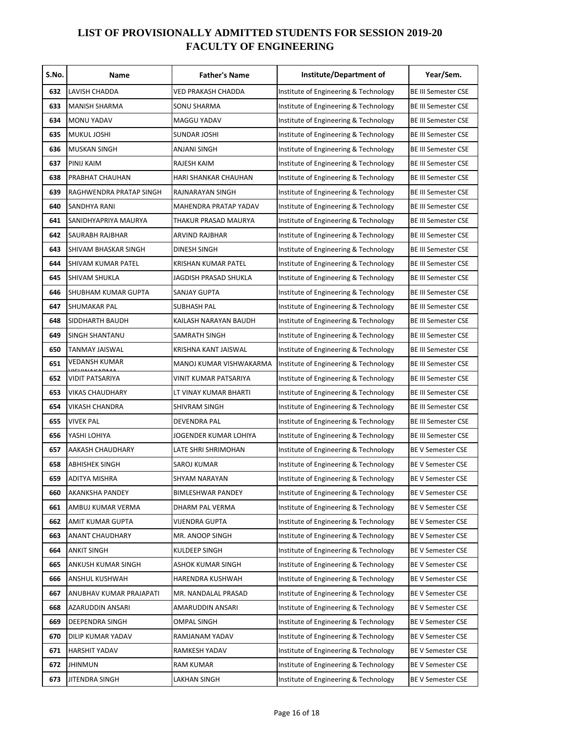| S.No. | Name                    | <b>Father's Name</b>    | Institute/Department of               | Year/Sem.                  |
|-------|-------------------------|-------------------------|---------------------------------------|----------------------------|
| 632   | LAVISH CHADDA           | VED PRAKASH CHADDA      | Institute of Engineering & Technology | <b>BE III Semester CSE</b> |
| 633   | <b>MANISH SHARMA</b>    | SONU SHARMA             | Institute of Engineering & Technology | <b>BE III Semester CSE</b> |
| 634   | MONU YADAV              | MAGGU YADAV             | Institute of Engineering & Technology | <b>BE III Semester CSE</b> |
| 635   | MUKUL JOSHI             | <b>SUNDAR JOSHI</b>     | Institute of Engineering & Technology | <b>BE III Semester CSE</b> |
| 636   | <b>MUSKAN SINGH</b>     | ANJANI SINGH            | Institute of Engineering & Technology | <b>BE III Semester CSE</b> |
| 637   | PINIJ KAIM              | RAJESH KAIM             | Institute of Engineering & Technology | <b>BE III Semester CSE</b> |
| 638   | PRABHAT CHAUHAN         | HARI SHANKAR CHAUHAN    | Institute of Engineering & Technology | <b>BE III Semester CSE</b> |
| 639   | RAGHWENDRA PRATAP SINGH | RAJNARAYAN SINGH        | Institute of Engineering & Technology | <b>BE III Semester CSE</b> |
| 640   | SANDHYA RANI            | MAHENDRA PRATAP YADAV   | Institute of Engineering & Technology | <b>BE III Semester CSE</b> |
| 641   | SANIDHYAPRIYA MAURYA    | THAKUR PRASAD MAURYA    | Institute of Engineering & Technology | <b>BE III Semester CSE</b> |
| 642   | SAURABH RAJBHAR         | <b>ARVIND RAJBHAR</b>   | Institute of Engineering & Technology | <b>BE III Semester CSE</b> |
| 643   | SHIVAM BHASKAR SINGH    | <b>DINESH SINGH</b>     | Institute of Engineering & Technology | <b>BE III Semester CSE</b> |
| 644   | SHIVAM KUMAR PATEL      | KRISHAN KUMAR PATEL     | Institute of Engineering & Technology | <b>BE III Semester CSE</b> |
| 645   | SHIVAM SHUKLA           | JAGDISH PRASAD SHUKLA   | Institute of Engineering & Technology | <b>BE III Semester CSE</b> |
| 646   | SHUBHAM KUMAR GUPTA     | <b>SANJAY GUPTA</b>     | Institute of Engineering & Technology | <b>BE III Semester CSE</b> |
| 647   | SHUMAKAR PAL            | <b>SUBHASH PAL</b>      | Institute of Engineering & Technology | <b>BE III Semester CSE</b> |
| 648   | SIDDHARTH BAUDH         | KAILASH NARAYAN BAUDH   | Institute of Engineering & Technology | <b>BE III Semester CSE</b> |
| 649   | SINGH SHANTANU          | <b>SAMRATH SINGH</b>    | Institute of Engineering & Technology | <b>BE III Semester CSE</b> |
| 650   | <b>TANMAY JAISWAL</b>   | KRISHNA KANT JAISWAL    | Institute of Engineering & Technology | <b>BE III Semester CSE</b> |
| 651   | VEDANSH KUMAR           | MANOJ KUMAR VISHWAKARMA | Institute of Engineering & Technology | <b>BE III Semester CSE</b> |
| 652   | VIDIT PATSARIYA         | VINIT KUMAR PATSARIYA   | Institute of Engineering & Technology | <b>BE III Semester CSE</b> |
| 653   | VIKAS CHAUDHARY         | LT VINAY KUMAR BHARTI   | Institute of Engineering & Technology | <b>BE III Semester CSE</b> |
| 654   | VIKASH CHANDRA          | SHIVRAM SINGH           | Institute of Engineering & Technology | <b>BE III Semester CSE</b> |
| 655   | <b>VIVEK PAL</b>        | <b>DEVENDRA PAL</b>     | Institute of Engineering & Technology | <b>BE III Semester CSE</b> |
| 656   | YASHI LOHIYA            | JOGENDER KUMAR LOHIYA   | Institute of Engineering & Technology | <b>BE III Semester CSE</b> |
| 657   | AAKASH CHAUDHARY        | LATE SHRI SHRIMOHAN     | Institute of Engineering & Technology | <b>BE V Semester CSE</b>   |
| 658   | <b>ABHISHEK SINGH</b>   | SAROJ KUMAR             | Institute of Engineering & Technology | <b>BE V Semester CSE</b>   |
| 659   | ADITYA MISHRA           | SHYAM NARAYAN           | Institute of Engineering & Technology | <b>BE V Semester CSE</b>   |
| 660   | AKANKSHA PANDEY         | BIMLESHWAR PANDEY       | Institute of Engineering & Technology | BE V Semester CSE          |
| 661   | AMBUJ KUMAR VERMA       | DHARM PAL VERMA         | Institute of Engineering & Technology | <b>BE V Semester CSE</b>   |
| 662   | AMIT KUMAR GUPTA        | VIJENDRA GUPTA          | Institute of Engineering & Technology | <b>BE V Semester CSE</b>   |
| 663   | ANANT CHAUDHARY         | MR. ANOOP SINGH         | Institute of Engineering & Technology | <b>BE V Semester CSE</b>   |
| 664   | <b>ANKIT SINGH</b>      | <b>KULDEEP SINGH</b>    | Institute of Engineering & Technology | <b>BE V Semester CSE</b>   |
| 665   | ANKUSH KUMAR SINGH      | ASHOK KUMAR SINGH       | Institute of Engineering & Technology | <b>BE V Semester CSE</b>   |
| 666   | ANSHUL KUSHWAH          | HARENDRA KUSHWAH        | Institute of Engineering & Technology | <b>BE V Semester CSE</b>   |
| 667   | ANUBHAV KUMAR PRAJAPATI | MR. NANDALAL PRASAD     | Institute of Engineering & Technology | <b>BE V Semester CSE</b>   |
| 668   | AZARUDDIN ANSARI        | AMARUDDIN ANSARI        | Institute of Engineering & Technology | <b>BE V Semester CSE</b>   |
| 669   | DEEPENDRA SINGH         | OMPAL SINGH             | Institute of Engineering & Technology | <b>BE V Semester CSE</b>   |
| 670   | DILIP KUMAR YADAV       | RAMJANAM YADAV          | Institute of Engineering & Technology | <b>BE V Semester CSE</b>   |
| 671   | <b>HARSHIT YADAV</b>    | RAMKESH YADAV           | Institute of Engineering & Technology | <b>BE V Semester CSE</b>   |
| 672   | JHINMUN                 | <b>RAM KUMAR</b>        | Institute of Engineering & Technology | <b>BE V Semester CSE</b>   |
| 673   | <b>JITENDRA SINGH</b>   | <b>LAKHAN SINGH</b>     | Institute of Engineering & Technology | <b>BE V Semester CSE</b>   |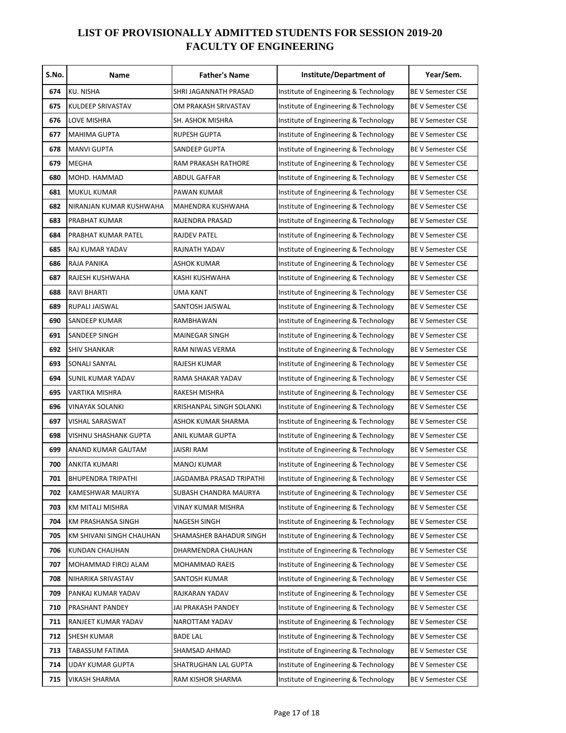| S.No. | Name                      | <b>Father's Name</b>     | Institute/Department of               | Year/Sem.                |
|-------|---------------------------|--------------------------|---------------------------------------|--------------------------|
| 674   | <b>KU. NISHA</b>          | SHRI JAGANNATH PRASAD    | Institute of Engineering & Technology | <b>BE V Semester CSE</b> |
| 675   | KULDEEP SRIVASTAV         | OM PRAKASH SRIVASTAV     | Institute of Engineering & Technology | <b>BE V Semester CSE</b> |
| 676   | LOVE MISHRA               | SH. ASHOK MISHRA         | Institute of Engineering & Technology | <b>BE V Semester CSE</b> |
| 677   | <b>MAHIMA GUPTA</b>       | <b>RUPESH GUPTA</b>      | Institute of Engineering & Technology | <b>BE V Semester CSE</b> |
| 678   | <b>MANVI GUPTA</b>        | SANDEEP GUPTA            | Institute of Engineering & Technology | <b>BE V Semester CSE</b> |
| 679   | <b>MEGHA</b>              | RAM PRAKASH RATHORE      | Institute of Engineering & Technology | <b>BE V Semester CSE</b> |
| 680   | MOHD. HAMMAD              | <b>ABDUL GAFFAR</b>      | Institute of Engineering & Technology | <b>BE V Semester CSE</b> |
| 681   | MUKUL KUMAR               | PAWAN KUMAR              | Institute of Engineering & Technology | <b>BE V Semester CSE</b> |
| 682   | NIRANJAN KUMAR KUSHWAHA   | MAHENDRA KUSHWAHA        | Institute of Engineering & Technology | <b>BE V Semester CSE</b> |
| 683   | PRABHAT KUMAR             | RAJENDRA PRASAD          | Institute of Engineering & Technology | <b>BE V Semester CSE</b> |
| 684   | PRABHAT KUMAR PATEL       | <b>RAJDEV PATEL</b>      | Institute of Engineering & Technology | <b>BE V Semester CSE</b> |
| 685   | RAJ KUMAR YADAV           | RAJNATH YADAV            | Institute of Engineering & Technology | <b>BE V Semester CSE</b> |
| 686   | RAJA PANIKA               | ASHOK KUMAR              | Institute of Engineering & Technology | <b>BE V Semester CSE</b> |
| 687   | RAJESH KUSHWAHA           | KASHI KUSHWAHA           | Institute of Engineering & Technology | <b>BE V Semester CSE</b> |
| 688   | RAVI BHARTI               | UMA KANT                 | Institute of Engineering & Technology | <b>BE V Semester CSE</b> |
| 689   | RUPALI JAISWAL            | SANTOSH JAISWAL          | Institute of Engineering & Technology | <b>BE V Semester CSE</b> |
| 690   | <b>SANDEEP KUMAR</b>      | RAMBHAWAN                | Institute of Engineering & Technology | <b>BE V Semester CSE</b> |
| 691   | SANDEEP SINGH             | <b>MAINEGAR SINGH</b>    | Institute of Engineering & Technology | <b>BE V Semester CSE</b> |
| 692   | <b>SHIV SHANKAR</b>       | RAM NIWAS VERMA          | Institute of Engineering & Technology | <b>BE V Semester CSE</b> |
| 693   | SONALI SANYAL             | <b>RAJESH KUMAR</b>      | Institute of Engineering & Technology | <b>BE V Semester CSE</b> |
| 694   | <b>SUNIL KUMAR YADAV</b>  | RAMA SHAKAR YADAV        | Institute of Engineering & Technology | <b>BE V Semester CSE</b> |
| 695   | VARTIKA MISHRA            | RAKESH MISHRA            | Institute of Engineering & Technology | <b>BE V Semester CSE</b> |
| 696   | VINAYAK SOLANKI           | KRISHANPAL SINGH SOLANKI | Institute of Engineering & Technology | <b>BE V Semester CSE</b> |
| 697   | <b>VISHAL SARASWAT</b>    | ASHOK KUMAR SHARMA       | Institute of Engineering & Technology | <b>BE V Semester CSE</b> |
| 698   | VISHNU SHASHANK GUPTA     | ANIL KUMAR GUPTA         | Institute of Engineering & Technology | <b>BE V Semester CSE</b> |
| 699   | ANAND KUMAR GAUTAM        | <b>JAISRI RAM</b>        | Institute of Engineering & Technology | <b>BE V Semester CSE</b> |
| 700   | <b>ANKITA KUMARI</b>      | MANOJ KUMAR              | Institute of Engineering & Technology | BE V Semester CSE        |
| 701   | <b>BHUPENDRA TRIPATHI</b> | JAGDAMBA PRASAD TRIPATHI | Institute of Engineering & Technology | BE V Semester CSE        |
| 702   | KAMESHWAR MAURYA          | SUBASH CHANDRA MAURYA    | Institute of Engineering & Technology | <b>BE V Semester CSE</b> |
| 703   | KM MITALI MISHRA          | VINAY KUMAR MISHRA       | Institute of Engineering & Technology | <b>BE V Semester CSE</b> |
| 704   | KM PRASHANSA SINGH        | NAGESH SINGH             | Institute of Engineering & Technology | <b>BE V Semester CSE</b> |
| 705   | KM SHIVANI SINGH CHAUHAN  | SHAMASHER BAHADUR SINGH  | Institute of Engineering & Technology | <b>BE V Semester CSE</b> |
| 706   | KUNDAN CHAUHAN            | DHARMENDRA CHAUHAN       | Institute of Engineering & Technology | <b>BE V Semester CSE</b> |
| 707   | MOHAMMAD FIROJ ALAM       | MOHAMMAD RAEIS           | Institute of Engineering & Technology | <b>BE V Semester CSE</b> |
| 708   | NIHARIKA SRIVASTAV        | SANTOSH KUMAR            | Institute of Engineering & Technology | <b>BE V Semester CSE</b> |
| 709   | PANKAJ KUMAR YADAV        | RAJKARAN YADAV           | Institute of Engineering & Technology | <b>BE V Semester CSE</b> |
| 710   | PRASHANT PANDEY           | JAI PRAKASH PANDEY       | Institute of Engineering & Technology | <b>BE V Semester CSE</b> |
| 711   | RANJEET KUMAR YADAV       | NAROTTAM YADAV           | Institute of Engineering & Technology | <b>BE V Semester CSE</b> |
| 712   | SHESH KUMAR               | <b>BADE LAL</b>          | Institute of Engineering & Technology | <b>BE V Semester CSE</b> |
| 713   | TABASSUM FATIMA           | SHAMSAD AHMAD            | Institute of Engineering & Technology | <b>BE V Semester CSE</b> |
| 714   | UDAY KUMAR GUPTA          | SHATRUGHAN LAL GUPTA     | Institute of Engineering & Technology | <b>BE V Semester CSE</b> |
| 715   | VIKASH SHARMA             | RAM KISHOR SHARMA        | Institute of Engineering & Technology | BE V Semester CSE        |